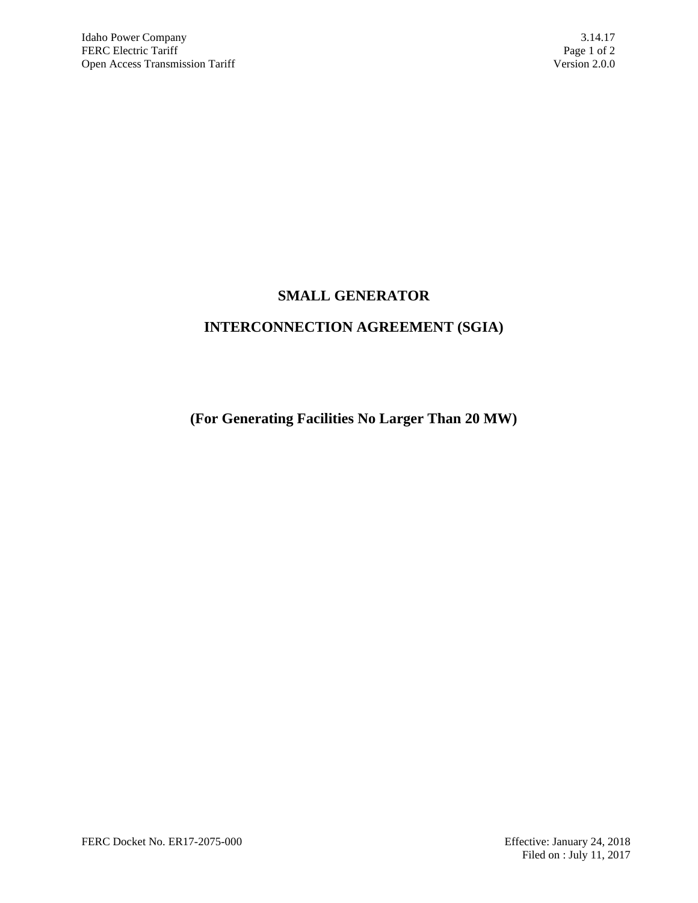# **SMALL GENERATOR**

# **INTERCONNECTION AGREEMENT (SGIA)**

**(For Generating Facilities No Larger Than 20 MW)**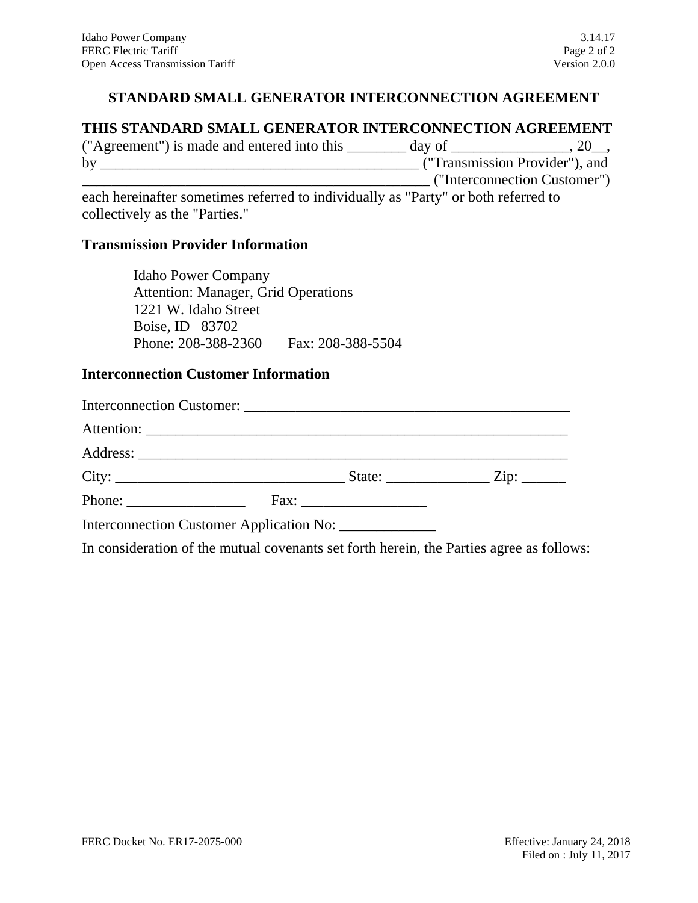#### **STANDARD SMALL GENERATOR INTERCONNECTION AGREEMENT**

#### **THIS STANDARD SMALL GENERATOR INTERCONNECTION AGREEMENT**

| ("Agreement") is made and entered into this | day of                         |                              |
|---------------------------------------------|--------------------------------|------------------------------|
| by                                          | ("Transmission Provider"), and |                              |
|                                             |                                | ("Interconnection Customer") |

each hereinafter sometimes referred to individually as "Party" or both referred to collectively as the "Parties."

#### **Transmission Provider Information**

Idaho Power Company Attention: Manager, Grid Operations 1221 W. Idaho Street Boise, ID 83702 Phone: 208-388-2360 Fax: 208-388-5504

#### **Interconnection Customer Information**

| Phone: $\frac{1}{\sqrt{1-\frac{1}{2}} \cdot \frac{1}{2}}$ |  |  |
|-----------------------------------------------------------|--|--|
| Interconnection Customer Application No: ______________   |  |  |

In consideration of the mutual covenants set forth herein, the Parties agree as follows: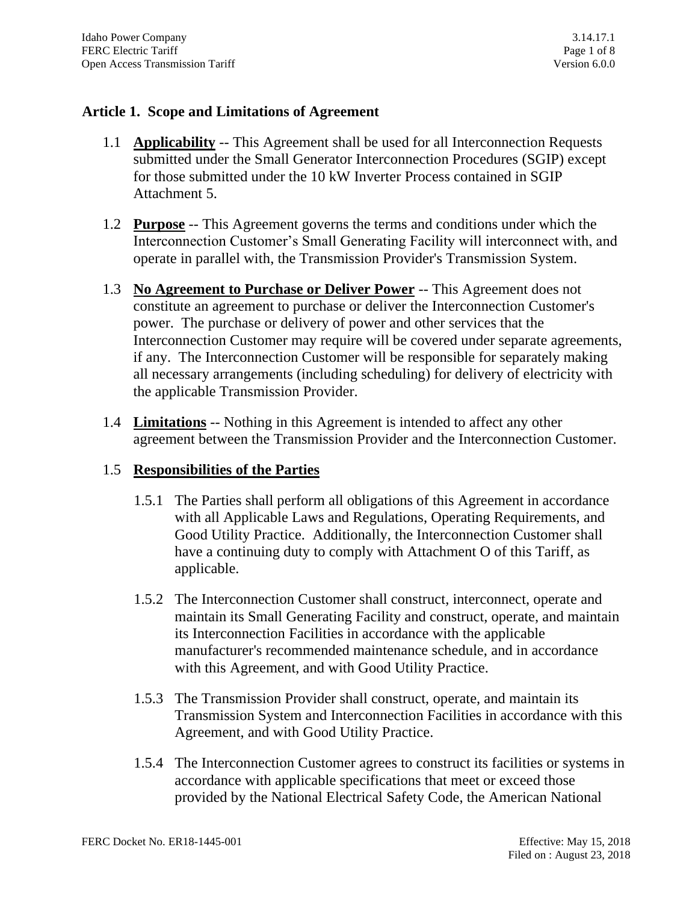#### **Article 1. Scope and Limitations of Agreement**

- 1.1 **Applicability** -- This Agreement shall be used for all Interconnection Requests submitted under the Small Generator Interconnection Procedures (SGIP) except for those submitted under the 10 kW Inverter Process contained in SGIP Attachment 5.
- 1.2 **Purpose** -- This Agreement governs the terms and conditions under which the Interconnection Customer's Small Generating Facility will interconnect with, and operate in parallel with, the Transmission Provider's Transmission System.
- 1.3 **No Agreement to Purchase or Deliver Power** -- This Agreement does not constitute an agreement to purchase or deliver the Interconnection Customer's power. The purchase or delivery of power and other services that the Interconnection Customer may require will be covered under separate agreements, if any. The Interconnection Customer will be responsible for separately making all necessary arrangements (including scheduling) for delivery of electricity with the applicable Transmission Provider.
- 1.4 **Limitations** -- Nothing in this Agreement is intended to affect any other agreement between the Transmission Provider and the Interconnection Customer.

## 1.5 **Responsibilities of the Parties**

- 1.5.1 The Parties shall perform all obligations of this Agreement in accordance with all Applicable Laws and Regulations, Operating Requirements, and Good Utility Practice. Additionally, the Interconnection Customer shall have a continuing duty to comply with Attachment O of this Tariff, as applicable.
- 1.5.2 The Interconnection Customer shall construct, interconnect, operate and maintain its Small Generating Facility and construct, operate, and maintain its Interconnection Facilities in accordance with the applicable manufacturer's recommended maintenance schedule, and in accordance with this Agreement, and with Good Utility Practice.
- 1.5.3 The Transmission Provider shall construct, operate, and maintain its Transmission System and Interconnection Facilities in accordance with this Agreement, and with Good Utility Practice.
- 1.5.4 The Interconnection Customer agrees to construct its facilities or systems in accordance with applicable specifications that meet or exceed those provided by the National Electrical Safety Code, the American National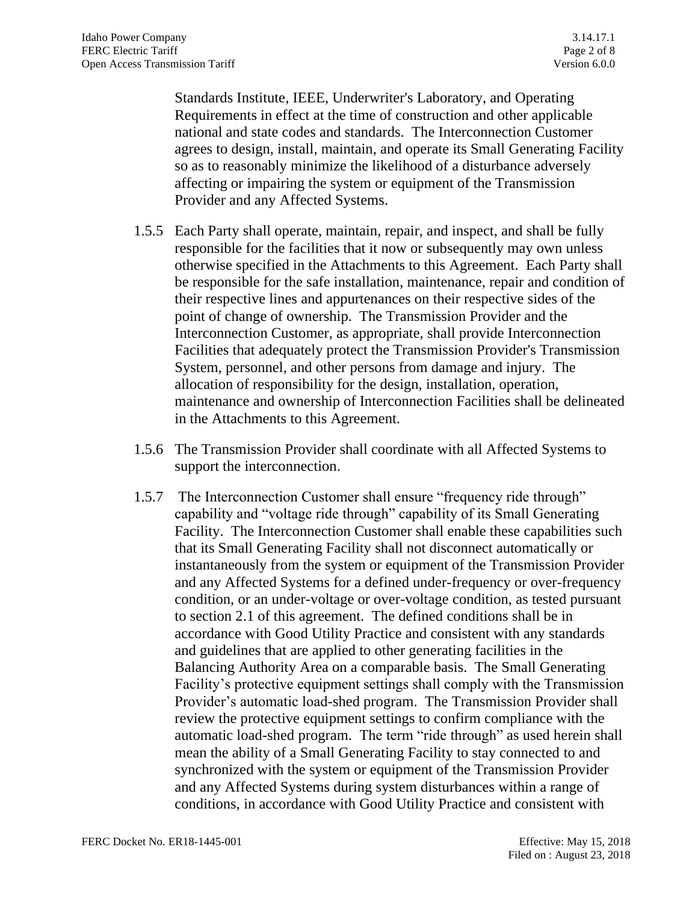Standards Institute, IEEE, Underwriter's Laboratory, and Operating Requirements in effect at the time of construction and other applicable national and state codes and standards. The Interconnection Customer agrees to design, install, maintain, and operate its Small Generating Facility so as to reasonably minimize the likelihood of a disturbance adversely affecting or impairing the system or equipment of the Transmission Provider and any Affected Systems.

- 1.5.5 Each Party shall operate, maintain, repair, and inspect, and shall be fully responsible for the facilities that it now or subsequently may own unless otherwise specified in the Attachments to this Agreement. Each Party shall be responsible for the safe installation, maintenance, repair and condition of their respective lines and appurtenances on their respective sides of the point of change of ownership. The Transmission Provider and the Interconnection Customer, as appropriate, shall provide Interconnection Facilities that adequately protect the Transmission Provider's Transmission System, personnel, and other persons from damage and injury. The allocation of responsibility for the design, installation, operation, maintenance and ownership of Interconnection Facilities shall be delineated in the Attachments to this Agreement.
- 1.5.6 The Transmission Provider shall coordinate with all Affected Systems to support the interconnection.
- 1.5.7 The Interconnection Customer shall ensure "frequency ride through" capability and "voltage ride through" capability of its Small Generating Facility. The Interconnection Customer shall enable these capabilities such that its Small Generating Facility shall not disconnect automatically or instantaneously from the system or equipment of the Transmission Provider and any Affected Systems for a defined under-frequency or over-frequency condition, or an under-voltage or over-voltage condition, as tested pursuant to section 2.1 of this agreement. The defined conditions shall be in accordance with Good Utility Practice and consistent with any standards and guidelines that are applied to other generating facilities in the Balancing Authority Area on a comparable basis. The Small Generating Facility's protective equipment settings shall comply with the Transmission Provider's automatic load-shed program. The Transmission Provider shall review the protective equipment settings to confirm compliance with the automatic load-shed program. The term "ride through" as used herein shall mean the ability of a Small Generating Facility to stay connected to and synchronized with the system or equipment of the Transmission Provider and any Affected Systems during system disturbances within a range of conditions, in accordance with Good Utility Practice and consistent with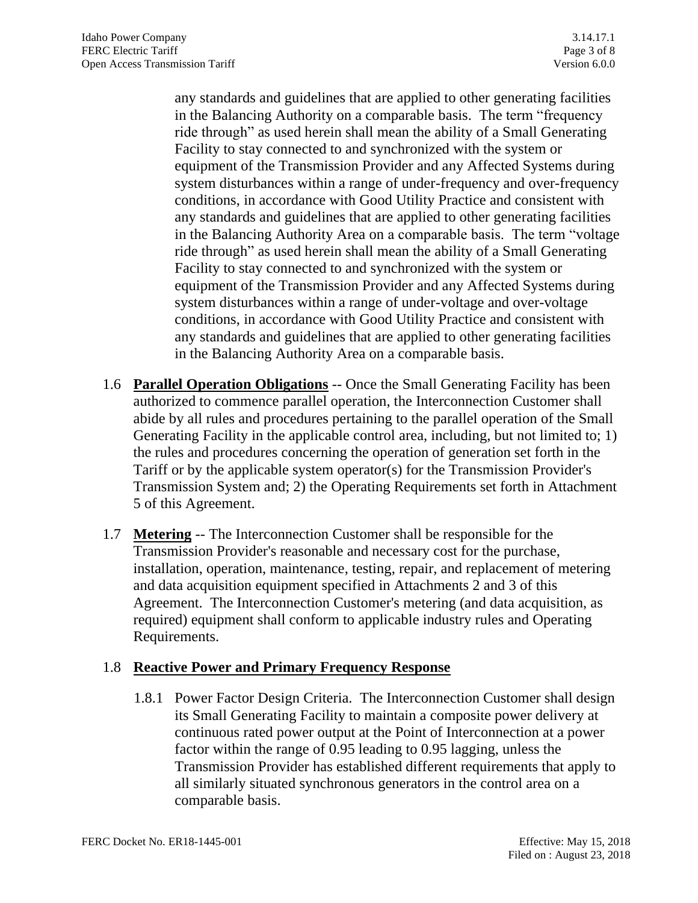any standards and guidelines that are applied to other generating facilities in the Balancing Authority on a comparable basis. The term "frequency ride through" as used herein shall mean the ability of a Small Generating Facility to stay connected to and synchronized with the system or equipment of the Transmission Provider and any Affected Systems during system disturbances within a range of under-frequency and over-frequency conditions, in accordance with Good Utility Practice and consistent with any standards and guidelines that are applied to other generating facilities in the Balancing Authority Area on a comparable basis. The term "voltage ride through" as used herein shall mean the ability of a Small Generating Facility to stay connected to and synchronized with the system or equipment of the Transmission Provider and any Affected Systems during system disturbances within a range of under-voltage and over-voltage conditions, in accordance with Good Utility Practice and consistent with any standards and guidelines that are applied to other generating facilities in the Balancing Authority Area on a comparable basis.

- 1.6 **Parallel Operation Obligations** -- Once the Small Generating Facility has been authorized to commence parallel operation, the Interconnection Customer shall abide by all rules and procedures pertaining to the parallel operation of the Small Generating Facility in the applicable control area, including, but not limited to; 1) the rules and procedures concerning the operation of generation set forth in the Tariff or by the applicable system operator(s) for the Transmission Provider's Transmission System and; 2) the Operating Requirements set forth in Attachment 5 of this Agreement.
- 1.7 **Metering** -- The Interconnection Customer shall be responsible for the Transmission Provider's reasonable and necessary cost for the purchase, installation, operation, maintenance, testing, repair, and replacement of metering and data acquisition equipment specified in Attachments 2 and 3 of this Agreement. The Interconnection Customer's metering (and data acquisition, as required) equipment shall conform to applicable industry rules and Operating Requirements.

## 1.8 **Reactive Power and Primary Frequency Response**

1.8.1 Power Factor Design Criteria. The Interconnection Customer shall design its Small Generating Facility to maintain a composite power delivery at continuous rated power output at the Point of Interconnection at a power factor within the range of 0.95 leading to 0.95 lagging, unless the Transmission Provider has established different requirements that apply to all similarly situated synchronous generators in the control area on a comparable basis.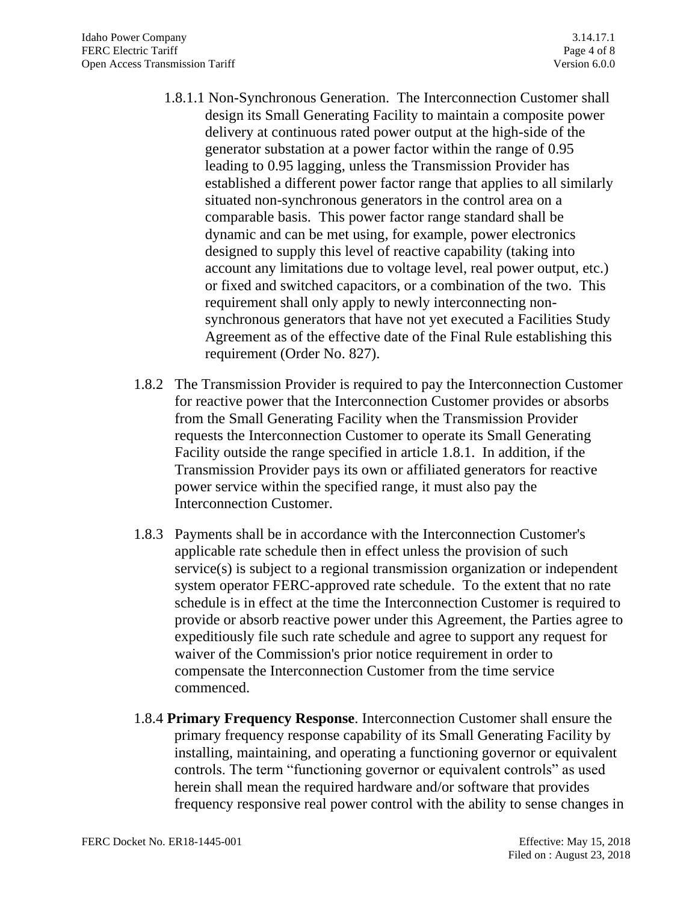- 1.8.1.1 Non-Synchronous Generation. The Interconnection Customer shall design its Small Generating Facility to maintain a composite power delivery at continuous rated power output at the high-side of the generator substation at a power factor within the range of 0.95 leading to 0.95 lagging, unless the Transmission Provider has established a different power factor range that applies to all similarly situated non-synchronous generators in the control area on a comparable basis. This power factor range standard shall be dynamic and can be met using, for example, power electronics designed to supply this level of reactive capability (taking into account any limitations due to voltage level, real power output, etc.) or fixed and switched capacitors, or a combination of the two. This requirement shall only apply to newly interconnecting nonsynchronous generators that have not yet executed a Facilities Study Agreement as of the effective date of the Final Rule establishing this requirement (Order No. 827).
- 1.8.2 The Transmission Provider is required to pay the Interconnection Customer for reactive power that the Interconnection Customer provides or absorbs from the Small Generating Facility when the Transmission Provider requests the Interconnection Customer to operate its Small Generating Facility outside the range specified in article 1.8.1. In addition, if the Transmission Provider pays its own or affiliated generators for reactive power service within the specified range, it must also pay the Interconnection Customer.
- 1.8.3 Payments shall be in accordance with the Interconnection Customer's applicable rate schedule then in effect unless the provision of such service(s) is subject to a regional transmission organization or independent system operator FERC-approved rate schedule. To the extent that no rate schedule is in effect at the time the Interconnection Customer is required to provide or absorb reactive power under this Agreement, the Parties agree to expeditiously file such rate schedule and agree to support any request for waiver of the Commission's prior notice requirement in order to compensate the Interconnection Customer from the time service commenced.
- 1.8.4 **Primary Frequency Response**. Interconnection Customer shall ensure the primary frequency response capability of its Small Generating Facility by installing, maintaining, and operating a functioning governor or equivalent controls. The term "functioning governor or equivalent controls" as used herein shall mean the required hardware and/or software that provides frequency responsive real power control with the ability to sense changes in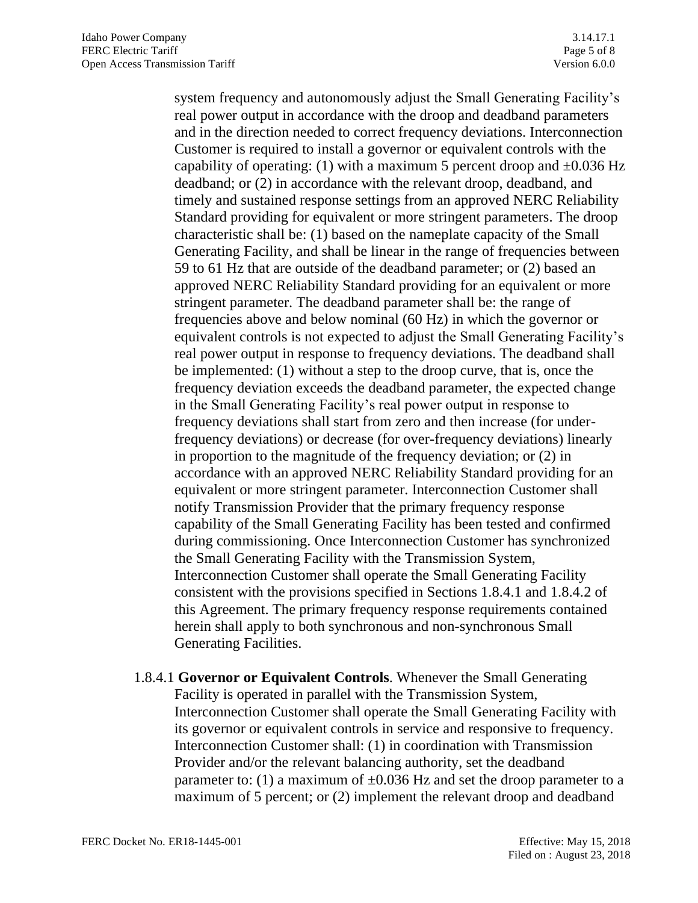system frequency and autonomously adjust the Small Generating Facility's real power output in accordance with the droop and deadband parameters and in the direction needed to correct frequency deviations. Interconnection Customer is required to install a governor or equivalent controls with the capability of operating: (1) with a maximum 5 percent droop and  $\pm 0.036$  Hz deadband; or (2) in accordance with the relevant droop, deadband, and timely and sustained response settings from an approved NERC Reliability Standard providing for equivalent or more stringent parameters. The droop characteristic shall be: (1) based on the nameplate capacity of the Small Generating Facility, and shall be linear in the range of frequencies between 59 to 61 Hz that are outside of the deadband parameter; or (2) based an approved NERC Reliability Standard providing for an equivalent or more stringent parameter. The deadband parameter shall be: the range of frequencies above and below nominal (60 Hz) in which the governor or equivalent controls is not expected to adjust the Small Generating Facility's real power output in response to frequency deviations. The deadband shall be implemented: (1) without a step to the droop curve, that is, once the frequency deviation exceeds the deadband parameter, the expected change in the Small Generating Facility's real power output in response to frequency deviations shall start from zero and then increase (for underfrequency deviations) or decrease (for over-frequency deviations) linearly in proportion to the magnitude of the frequency deviation; or (2) in accordance with an approved NERC Reliability Standard providing for an equivalent or more stringent parameter. Interconnection Customer shall notify Transmission Provider that the primary frequency response capability of the Small Generating Facility has been tested and confirmed during commissioning. Once Interconnection Customer has synchronized the Small Generating Facility with the Transmission System, Interconnection Customer shall operate the Small Generating Facility consistent with the provisions specified in Sections 1.8.4.1 and 1.8.4.2 of this Agreement. The primary frequency response requirements contained herein shall apply to both synchronous and non-synchronous Small Generating Facilities.

1.8.4.1 **Governor or Equivalent Controls**. Whenever the Small Generating Facility is operated in parallel with the Transmission System, Interconnection Customer shall operate the Small Generating Facility with its governor or equivalent controls in service and responsive to frequency. Interconnection Customer shall: (1) in coordination with Transmission Provider and/or the relevant balancing authority, set the deadband parameter to: (1) a maximum of  $\pm 0.036$  Hz and set the droop parameter to a maximum of 5 percent; or (2) implement the relevant droop and deadband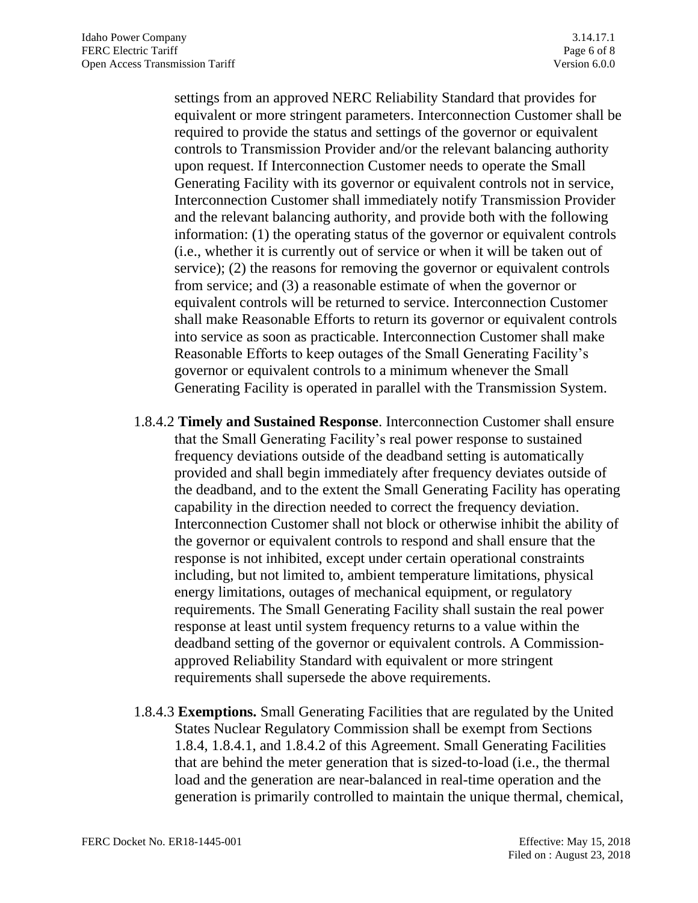settings from an approved NERC Reliability Standard that provides for equivalent or more stringent parameters. Interconnection Customer shall be required to provide the status and settings of the governor or equivalent controls to Transmission Provider and/or the relevant balancing authority upon request. If Interconnection Customer needs to operate the Small Generating Facility with its governor or equivalent controls not in service, Interconnection Customer shall immediately notify Transmission Provider and the relevant balancing authority, and provide both with the following information: (1) the operating status of the governor or equivalent controls (i.e., whether it is currently out of service or when it will be taken out of service); (2) the reasons for removing the governor or equivalent controls from service; and (3) a reasonable estimate of when the governor or equivalent controls will be returned to service. Interconnection Customer shall make Reasonable Efforts to return its governor or equivalent controls into service as soon as practicable. Interconnection Customer shall make Reasonable Efforts to keep outages of the Small Generating Facility's governor or equivalent controls to a minimum whenever the Small Generating Facility is operated in parallel with the Transmission System.

- 1.8.4.2 **Timely and Sustained Response**. Interconnection Customer shall ensure that the Small Generating Facility's real power response to sustained frequency deviations outside of the deadband setting is automatically provided and shall begin immediately after frequency deviates outside of the deadband, and to the extent the Small Generating Facility has operating capability in the direction needed to correct the frequency deviation. Interconnection Customer shall not block or otherwise inhibit the ability of the governor or equivalent controls to respond and shall ensure that the response is not inhibited, except under certain operational constraints including, but not limited to, ambient temperature limitations, physical energy limitations, outages of mechanical equipment, or regulatory requirements. The Small Generating Facility shall sustain the real power response at least until system frequency returns to a value within the deadband setting of the governor or equivalent controls. A Commissionapproved Reliability Standard with equivalent or more stringent requirements shall supersede the above requirements.
- 1.8.4.3 **Exemptions.** Small Generating Facilities that are regulated by the United States Nuclear Regulatory Commission shall be exempt from Sections 1.8.4, 1.8.4.1, and 1.8.4.2 of this Agreement. Small Generating Facilities that are behind the meter generation that is sized-to-load (i.e., the thermal load and the generation are near-balanced in real-time operation and the generation is primarily controlled to maintain the unique thermal, chemical,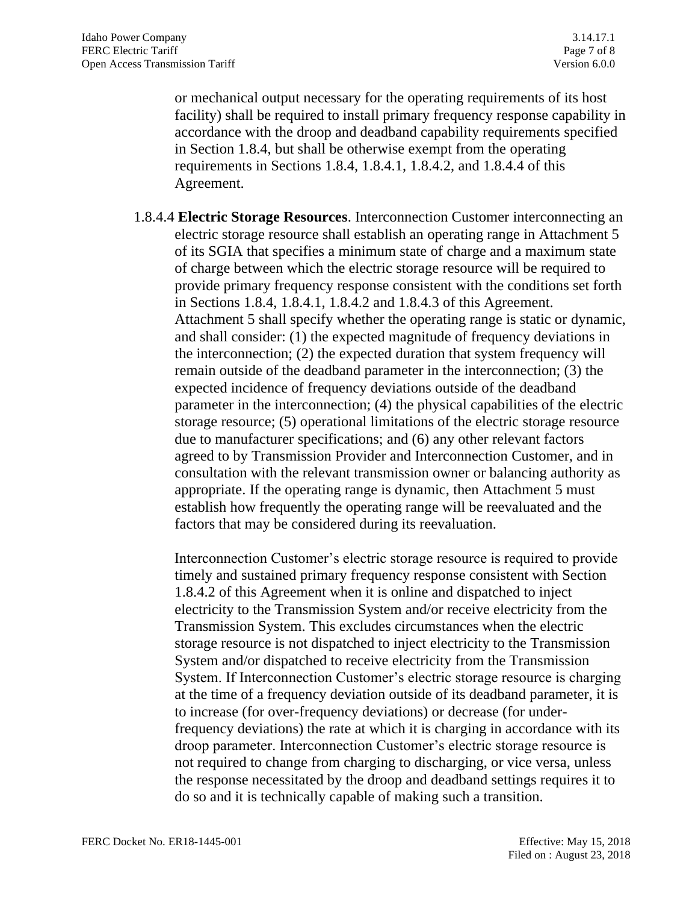or mechanical output necessary for the operating requirements of its host facility) shall be required to install primary frequency response capability in accordance with the droop and deadband capability requirements specified in Section 1.8.4, but shall be otherwise exempt from the operating requirements in Sections 1.8.4, 1.8.4.1, 1.8.4.2, and 1.8.4.4 of this Agreement.

1.8.4.4 **Electric Storage Resources**. Interconnection Customer interconnecting an electric storage resource shall establish an operating range in Attachment 5 of its SGIA that specifies a minimum state of charge and a maximum state of charge between which the electric storage resource will be required to provide primary frequency response consistent with the conditions set forth in Sections 1.8.4, 1.8.4.1, 1.8.4.2 and 1.8.4.3 of this Agreement. Attachment 5 shall specify whether the operating range is static or dynamic, and shall consider: (1) the expected magnitude of frequency deviations in the interconnection; (2) the expected duration that system frequency will remain outside of the deadband parameter in the interconnection; (3) the expected incidence of frequency deviations outside of the deadband parameter in the interconnection; (4) the physical capabilities of the electric storage resource; (5) operational limitations of the electric storage resource due to manufacturer specifications; and (6) any other relevant factors agreed to by Transmission Provider and Interconnection Customer, and in consultation with the relevant transmission owner or balancing authority as appropriate. If the operating range is dynamic, then Attachment 5 must establish how frequently the operating range will be reevaluated and the factors that may be considered during its reevaluation.

Interconnection Customer's electric storage resource is required to provide timely and sustained primary frequency response consistent with Section 1.8.4.2 of this Agreement when it is online and dispatched to inject electricity to the Transmission System and/or receive electricity from the Transmission System. This excludes circumstances when the electric storage resource is not dispatched to inject electricity to the Transmission System and/or dispatched to receive electricity from the Transmission System. If Interconnection Customer's electric storage resource is charging at the time of a frequency deviation outside of its deadband parameter, it is to increase (for over-frequency deviations) or decrease (for underfrequency deviations) the rate at which it is charging in accordance with its droop parameter. Interconnection Customer's electric storage resource is not required to change from charging to discharging, or vice versa, unless the response necessitated by the droop and deadband settings requires it to do so and it is technically capable of making such a transition.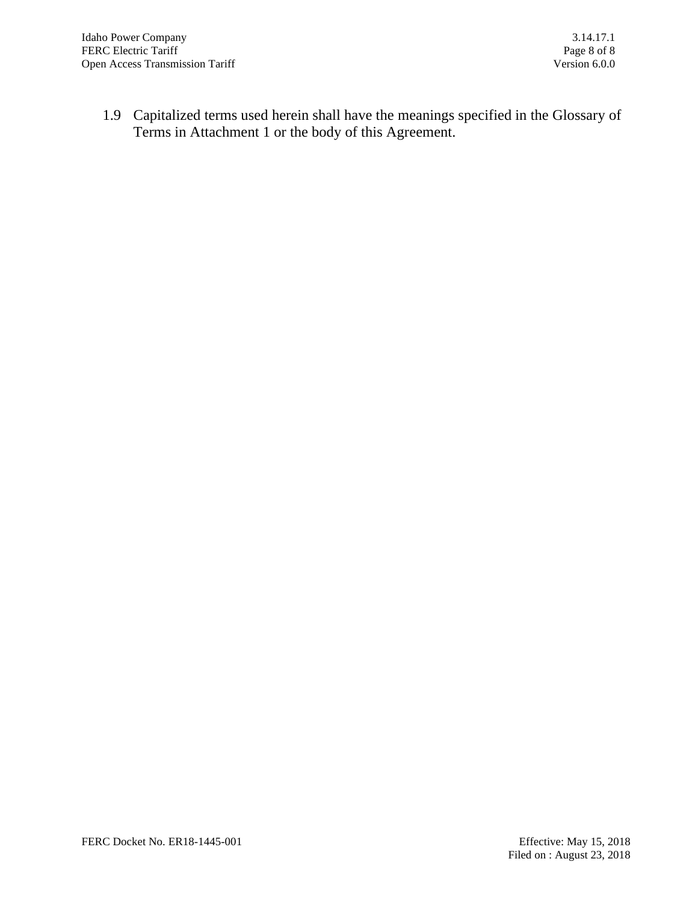1.9 Capitalized terms used herein shall have the meanings specified in the Glossary of Terms in Attachment 1 or the body of this Agreement.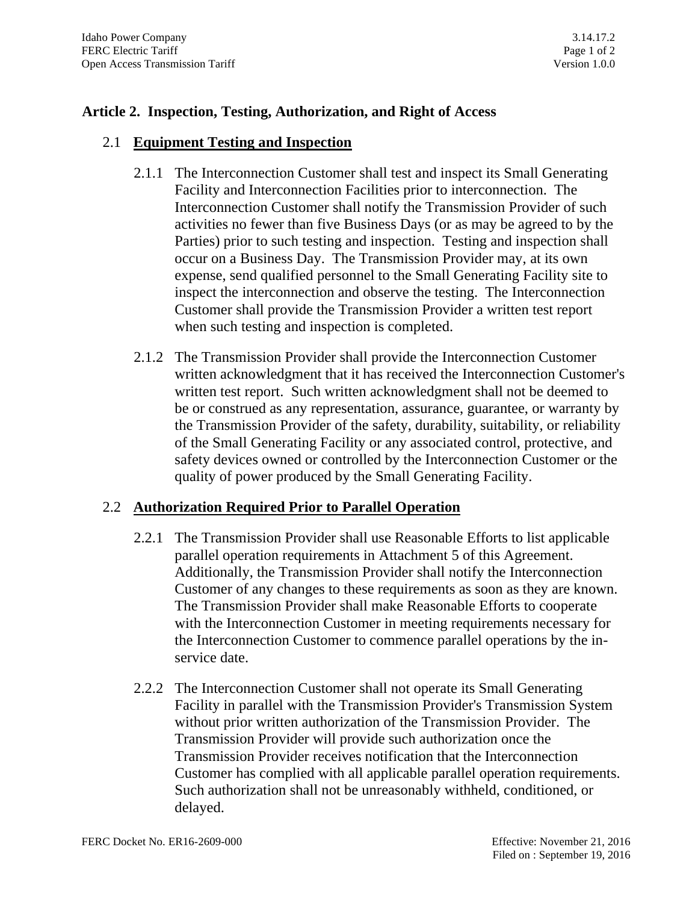#### **Article 2. Inspection, Testing, Authorization, and Right of Access**

#### 2.1 **Equipment Testing and Inspection**

- 2.1.1 The Interconnection Customer shall test and inspect its Small Generating Facility and Interconnection Facilities prior to interconnection. The Interconnection Customer shall notify the Transmission Provider of such activities no fewer than five Business Days (or as may be agreed to by the Parties) prior to such testing and inspection. Testing and inspection shall occur on a Business Day. The Transmission Provider may, at its own expense, send qualified personnel to the Small Generating Facility site to inspect the interconnection and observe the testing. The Interconnection Customer shall provide the Transmission Provider a written test report when such testing and inspection is completed.
- 2.1.2 The Transmission Provider shall provide the Interconnection Customer written acknowledgment that it has received the Interconnection Customer's written test report. Such written acknowledgment shall not be deemed to be or construed as any representation, assurance, guarantee, or warranty by the Transmission Provider of the safety, durability, suitability, or reliability of the Small Generating Facility or any associated control, protective, and safety devices owned or controlled by the Interconnection Customer or the quality of power produced by the Small Generating Facility.

#### 2.2 **Authorization Required Prior to Parallel Operation**

- 2.2.1 The Transmission Provider shall use Reasonable Efforts to list applicable parallel operation requirements in Attachment 5 of this Agreement. Additionally, the Transmission Provider shall notify the Interconnection Customer of any changes to these requirements as soon as they are known. The Transmission Provider shall make Reasonable Efforts to cooperate with the Interconnection Customer in meeting requirements necessary for the Interconnection Customer to commence parallel operations by the inservice date.
- 2.2.2 The Interconnection Customer shall not operate its Small Generating Facility in parallel with the Transmission Provider's Transmission System without prior written authorization of the Transmission Provider. The Transmission Provider will provide such authorization once the Transmission Provider receives notification that the Interconnection Customer has complied with all applicable parallel operation requirements. Such authorization shall not be unreasonably withheld, conditioned, or delayed.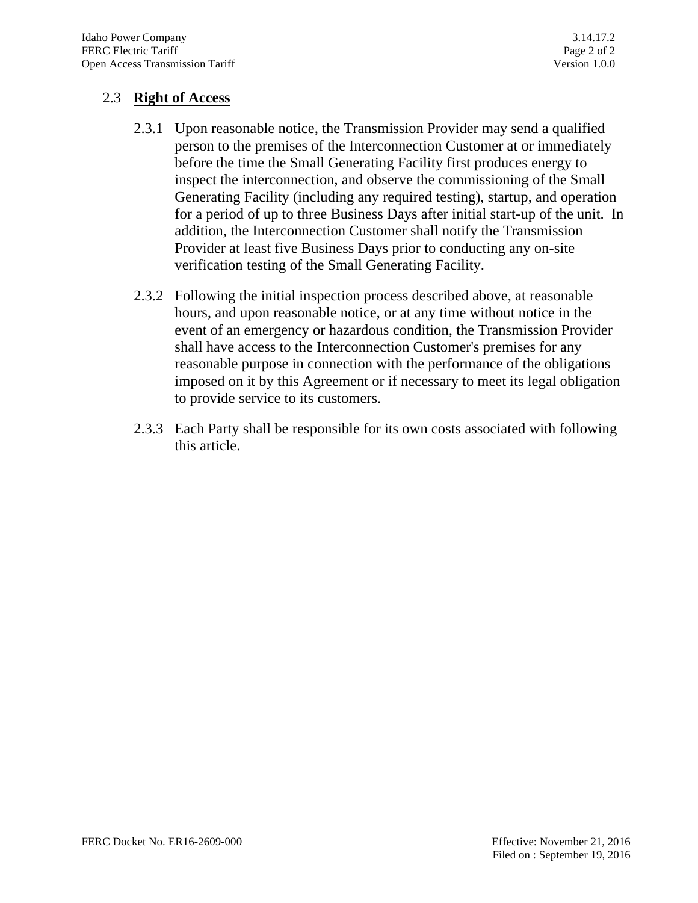## 2.3 **Right of Access**

- 2.3.1 Upon reasonable notice, the Transmission Provider may send a qualified person to the premises of the Interconnection Customer at or immediately before the time the Small Generating Facility first produces energy to inspect the interconnection, and observe the commissioning of the Small Generating Facility (including any required testing), startup, and operation for a period of up to three Business Days after initial start-up of the unit. In addition, the Interconnection Customer shall notify the Transmission Provider at least five Business Days prior to conducting any on-site verification testing of the Small Generating Facility.
- 2.3.2 Following the initial inspection process described above, at reasonable hours, and upon reasonable notice, or at any time without notice in the event of an emergency or hazardous condition, the Transmission Provider shall have access to the Interconnection Customer's premises for any reasonable purpose in connection with the performance of the obligations imposed on it by this Agreement or if necessary to meet its legal obligation to provide service to its customers.
- 2.3.3 Each Party shall be responsible for its own costs associated with following this article.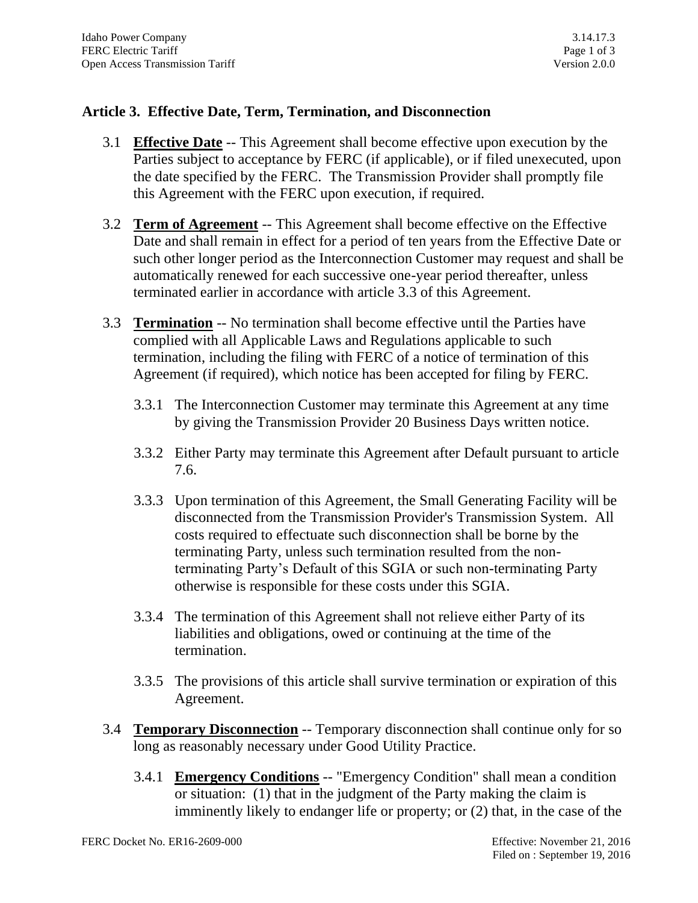## **Article 3. Effective Date, Term, Termination, and Disconnection**

- 3.1 **Effective Date** -- This Agreement shall become effective upon execution by the Parties subject to acceptance by FERC (if applicable), or if filed unexecuted, upon the date specified by the FERC. The Transmission Provider shall promptly file this Agreement with the FERC upon execution, if required.
- 3.2 **Term of Agreement** -- This Agreement shall become effective on the Effective Date and shall remain in effect for a period of ten years from the Effective Date or such other longer period as the Interconnection Customer may request and shall be automatically renewed for each successive one-year period thereafter, unless terminated earlier in accordance with article 3.3 of this Agreement.
- 3.3 **Termination** -- No termination shall become effective until the Parties have complied with all Applicable Laws and Regulations applicable to such termination, including the filing with FERC of a notice of termination of this Agreement (if required), which notice has been accepted for filing by FERC.
	- 3.3.1 The Interconnection Customer may terminate this Agreement at any time by giving the Transmission Provider 20 Business Days written notice.
	- 3.3.2 Either Party may terminate this Agreement after Default pursuant to article 7.6.
	- 3.3.3 Upon termination of this Agreement, the Small Generating Facility will be disconnected from the Transmission Provider's Transmission System. All costs required to effectuate such disconnection shall be borne by the terminating Party, unless such termination resulted from the nonterminating Party's Default of this SGIA or such non-terminating Party otherwise is responsible for these costs under this SGIA.
	- 3.3.4 The termination of this Agreement shall not relieve either Party of its liabilities and obligations, owed or continuing at the time of the termination.
	- 3.3.5 The provisions of this article shall survive termination or expiration of this Agreement.
- 3.4 **Temporary Disconnection** -- Temporary disconnection shall continue only for so long as reasonably necessary under Good Utility Practice.
	- 3.4.1 **Emergency Conditions** -- "Emergency Condition" shall mean a condition or situation: (1) that in the judgment of the Party making the claim is imminently likely to endanger life or property; or (2) that, in the case of the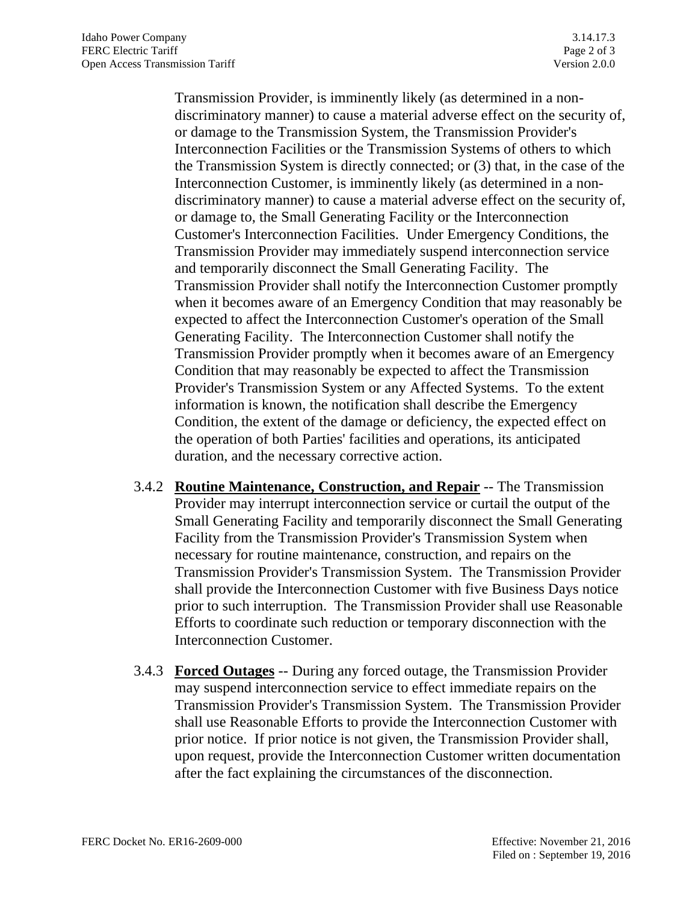Transmission Provider, is imminently likely (as determined in a nondiscriminatory manner) to cause a material adverse effect on the security of, or damage to the Transmission System, the Transmission Provider's Interconnection Facilities or the Transmission Systems of others to which the Transmission System is directly connected; or (3) that, in the case of the Interconnection Customer, is imminently likely (as determined in a nondiscriminatory manner) to cause a material adverse effect on the security of, or damage to, the Small Generating Facility or the Interconnection Customer's Interconnection Facilities. Under Emergency Conditions, the Transmission Provider may immediately suspend interconnection service and temporarily disconnect the Small Generating Facility. The Transmission Provider shall notify the Interconnection Customer promptly when it becomes aware of an Emergency Condition that may reasonably be expected to affect the Interconnection Customer's operation of the Small Generating Facility. The Interconnection Customer shall notify the Transmission Provider promptly when it becomes aware of an Emergency Condition that may reasonably be expected to affect the Transmission Provider's Transmission System or any Affected Systems. To the extent information is known, the notification shall describe the Emergency Condition, the extent of the damage or deficiency, the expected effect on the operation of both Parties' facilities and operations, its anticipated duration, and the necessary corrective action.

- 3.4.2 **Routine Maintenance, Construction, and Repair** -- The Transmission Provider may interrupt interconnection service or curtail the output of the Small Generating Facility and temporarily disconnect the Small Generating Facility from the Transmission Provider's Transmission System when necessary for routine maintenance, construction, and repairs on the Transmission Provider's Transmission System. The Transmission Provider shall provide the Interconnection Customer with five Business Days notice prior to such interruption. The Transmission Provider shall use Reasonable Efforts to coordinate such reduction or temporary disconnection with the Interconnection Customer.
- 3.4.3 **Forced Outages** -- During any forced outage, the Transmission Provider may suspend interconnection service to effect immediate repairs on the Transmission Provider's Transmission System. The Transmission Provider shall use Reasonable Efforts to provide the Interconnection Customer with prior notice. If prior notice is not given, the Transmission Provider shall, upon request, provide the Interconnection Customer written documentation after the fact explaining the circumstances of the disconnection.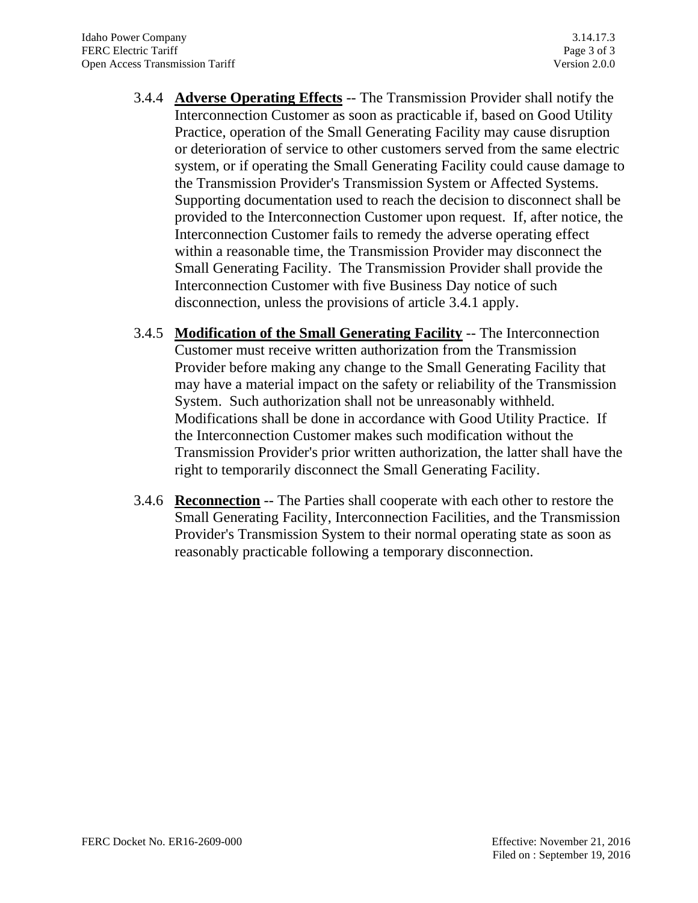- 3.4.4 **Adverse Operating Effects** -- The Transmission Provider shall notify the Interconnection Customer as soon as practicable if, based on Good Utility Practice, operation of the Small Generating Facility may cause disruption or deterioration of service to other customers served from the same electric system, or if operating the Small Generating Facility could cause damage to the Transmission Provider's Transmission System or Affected Systems. Supporting documentation used to reach the decision to disconnect shall be provided to the Interconnection Customer upon request. If, after notice, the Interconnection Customer fails to remedy the adverse operating effect within a reasonable time, the Transmission Provider may disconnect the Small Generating Facility. The Transmission Provider shall provide the Interconnection Customer with five Business Day notice of such disconnection, unless the provisions of article 3.4.1 apply.
- 3.4.5 **Modification of the Small Generating Facility** -- The Interconnection Customer must receive written authorization from the Transmission Provider before making any change to the Small Generating Facility that may have a material impact on the safety or reliability of the Transmission System. Such authorization shall not be unreasonably withheld. Modifications shall be done in accordance with Good Utility Practice. If the Interconnection Customer makes such modification without the Transmission Provider's prior written authorization, the latter shall have the right to temporarily disconnect the Small Generating Facility.
- 3.4.6 **Reconnection** -- The Parties shall cooperate with each other to restore the Small Generating Facility, Interconnection Facilities, and the Transmission Provider's Transmission System to their normal operating state as soon as reasonably practicable following a temporary disconnection.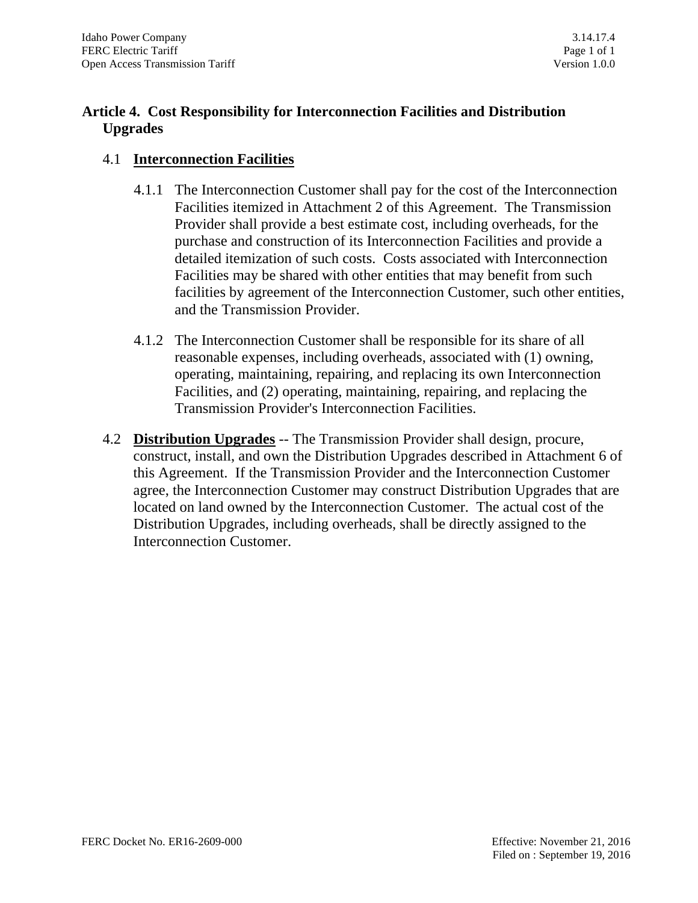# **Article 4. Cost Responsibility for Interconnection Facilities and Distribution Upgrades**

## 4.1 **Interconnection Facilities**

- 4.1.1 The Interconnection Customer shall pay for the cost of the Interconnection Facilities itemized in Attachment 2 of this Agreement. The Transmission Provider shall provide a best estimate cost, including overheads, for the purchase and construction of its Interconnection Facilities and provide a detailed itemization of such costs. Costs associated with Interconnection Facilities may be shared with other entities that may benefit from such facilities by agreement of the Interconnection Customer, such other entities, and the Transmission Provider.
- 4.1.2 The Interconnection Customer shall be responsible for its share of all reasonable expenses, including overheads, associated with (1) owning, operating, maintaining, repairing, and replacing its own Interconnection Facilities, and (2) operating, maintaining, repairing, and replacing the Transmission Provider's Interconnection Facilities.
- 4.2 **Distribution Upgrades** -- The Transmission Provider shall design, procure, construct, install, and own the Distribution Upgrades described in Attachment 6 of this Agreement. If the Transmission Provider and the Interconnection Customer agree, the Interconnection Customer may construct Distribution Upgrades that are located on land owned by the Interconnection Customer. The actual cost of the Distribution Upgrades, including overheads, shall be directly assigned to the Interconnection Customer.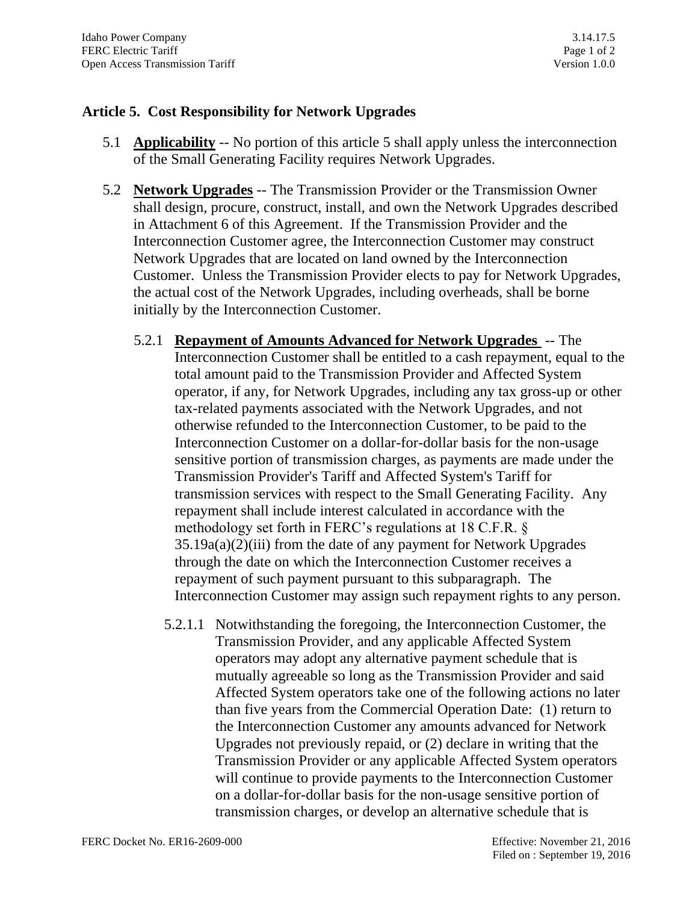## **Article 5. Cost Responsibility for Network Upgrades**

- 5.1 **Applicability** -- No portion of this article 5 shall apply unless the interconnection of the Small Generating Facility requires Network Upgrades.
- 5.2 **Network Upgrades** -- The Transmission Provider or the Transmission Owner shall design, procure, construct, install, and own the Network Upgrades described in Attachment 6 of this Agreement. If the Transmission Provider and the Interconnection Customer agree, the Interconnection Customer may construct Network Upgrades that are located on land owned by the Interconnection Customer. Unless the Transmission Provider elects to pay for Network Upgrades, the actual cost of the Network Upgrades, including overheads, shall be borne initially by the Interconnection Customer.
	- 5.2.1 **Repayment of Amounts Advanced for Network Upgrades** -- The Interconnection Customer shall be entitled to a cash repayment, equal to the total amount paid to the Transmission Provider and Affected System operator, if any, for Network Upgrades, including any tax gross-up or other tax-related payments associated with the Network Upgrades, and not otherwise refunded to the Interconnection Customer, to be paid to the Interconnection Customer on a dollar-for-dollar basis for the non-usage sensitive portion of transmission charges, as payments are made under the Transmission Provider's Tariff and Affected System's Tariff for transmission services with respect to the Small Generating Facility. Any repayment shall include interest calculated in accordance with the methodology set forth in FERC's regulations at 18 C.F.R. § 35.19a(a)(2)(iii) from the date of any payment for Network Upgrades through the date on which the Interconnection Customer receives a repayment of such payment pursuant to this subparagraph. The Interconnection Customer may assign such repayment rights to any person.
		- 5.2.1.1 Notwithstanding the foregoing, the Interconnection Customer, the Transmission Provider, and any applicable Affected System operators may adopt any alternative payment schedule that is mutually agreeable so long as the Transmission Provider and said Affected System operators take one of the following actions no later than five years from the Commercial Operation Date: (1) return to the Interconnection Customer any amounts advanced for Network Upgrades not previously repaid, or (2) declare in writing that the Transmission Provider or any applicable Affected System operators will continue to provide payments to the Interconnection Customer on a dollar-for-dollar basis for the non-usage sensitive portion of transmission charges, or develop an alternative schedule that is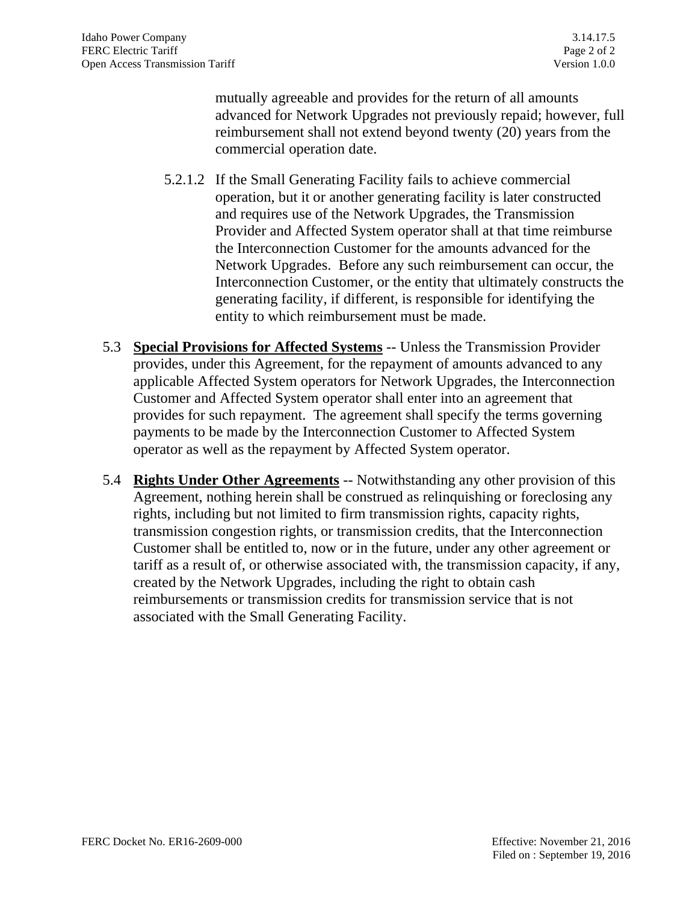mutually agreeable and provides for the return of all amounts advanced for Network Upgrades not previously repaid; however, full reimbursement shall not extend beyond twenty (20) years from the commercial operation date.

- 5.2.1.2 If the Small Generating Facility fails to achieve commercial operation, but it or another generating facility is later constructed and requires use of the Network Upgrades, the Transmission Provider and Affected System operator shall at that time reimburse the Interconnection Customer for the amounts advanced for the Network Upgrades. Before any such reimbursement can occur, the Interconnection Customer, or the entity that ultimately constructs the generating facility, if different, is responsible for identifying the entity to which reimbursement must be made.
- 5.3 **Special Provisions for Affected Systems** -- Unless the Transmission Provider provides, under this Agreement, for the repayment of amounts advanced to any applicable Affected System operators for Network Upgrades, the Interconnection Customer and Affected System operator shall enter into an agreement that provides for such repayment. The agreement shall specify the terms governing payments to be made by the Interconnection Customer to Affected System operator as well as the repayment by Affected System operator.
- 5.4 **Rights Under Other Agreements** -- Notwithstanding any other provision of this Agreement, nothing herein shall be construed as relinquishing or foreclosing any rights, including but not limited to firm transmission rights, capacity rights, transmission congestion rights, or transmission credits, that the Interconnection Customer shall be entitled to, now or in the future, under any other agreement or tariff as a result of, or otherwise associated with, the transmission capacity, if any, created by the Network Upgrades, including the right to obtain cash reimbursements or transmission credits for transmission service that is not associated with the Small Generating Facility.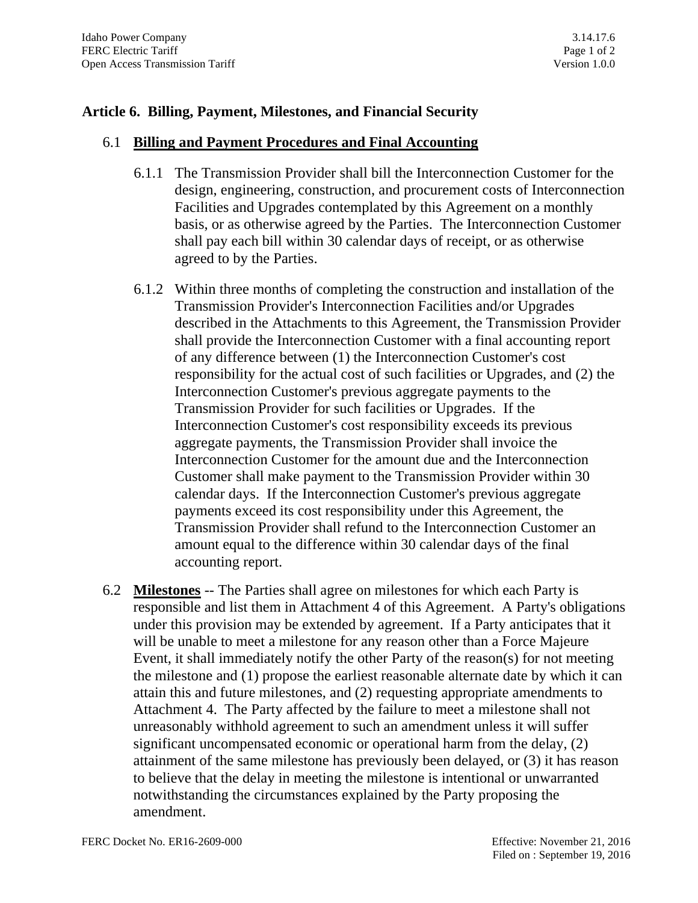### **Article 6. Billing, Payment, Milestones, and Financial Security**

#### 6.1 **Billing and Payment Procedures and Final Accounting**

- 6.1.1 The Transmission Provider shall bill the Interconnection Customer for the design, engineering, construction, and procurement costs of Interconnection Facilities and Upgrades contemplated by this Agreement on a monthly basis, or as otherwise agreed by the Parties. The Interconnection Customer shall pay each bill within 30 calendar days of receipt, or as otherwise agreed to by the Parties.
- 6.1.2 Within three months of completing the construction and installation of the Transmission Provider's Interconnection Facilities and/or Upgrades described in the Attachments to this Agreement, the Transmission Provider shall provide the Interconnection Customer with a final accounting report of any difference between (1) the Interconnection Customer's cost responsibility for the actual cost of such facilities or Upgrades, and (2) the Interconnection Customer's previous aggregate payments to the Transmission Provider for such facilities or Upgrades. If the Interconnection Customer's cost responsibility exceeds its previous aggregate payments, the Transmission Provider shall invoice the Interconnection Customer for the amount due and the Interconnection Customer shall make payment to the Transmission Provider within 30 calendar days. If the Interconnection Customer's previous aggregate payments exceed its cost responsibility under this Agreement, the Transmission Provider shall refund to the Interconnection Customer an amount equal to the difference within 30 calendar days of the final accounting report.
- 6.2 **Milestones** -- The Parties shall agree on milestones for which each Party is responsible and list them in Attachment 4 of this Agreement. A Party's obligations under this provision may be extended by agreement. If a Party anticipates that it will be unable to meet a milestone for any reason other than a Force Majeure Event, it shall immediately notify the other Party of the reason(s) for not meeting the milestone and (1) propose the earliest reasonable alternate date by which it can attain this and future milestones, and (2) requesting appropriate amendments to Attachment 4. The Party affected by the failure to meet a milestone shall not unreasonably withhold agreement to such an amendment unless it will suffer significant uncompensated economic or operational harm from the delay, (2) attainment of the same milestone has previously been delayed, or (3) it has reason to believe that the delay in meeting the milestone is intentional or unwarranted notwithstanding the circumstances explained by the Party proposing the amendment.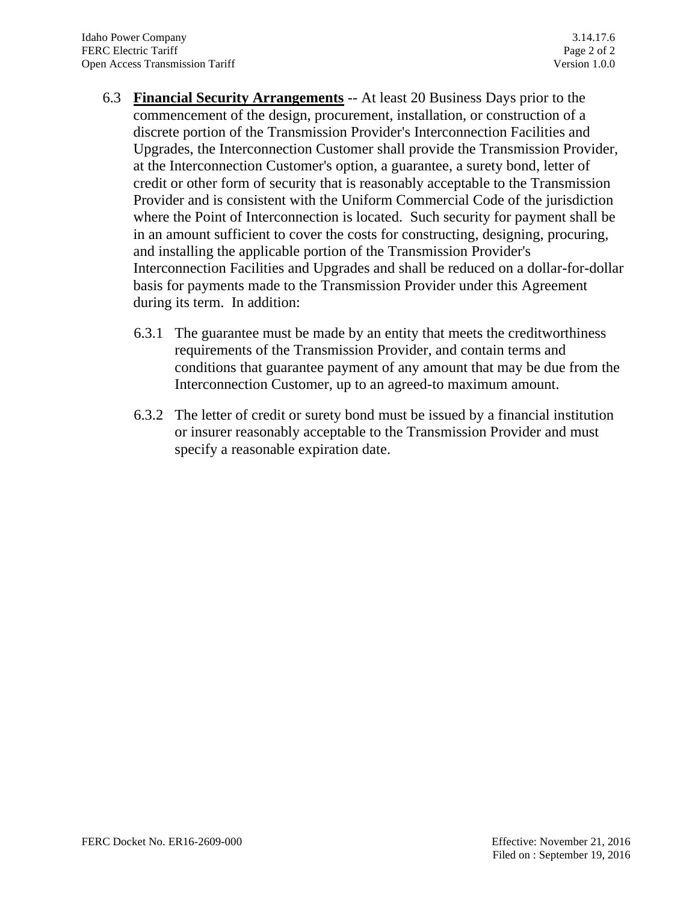- 6.3 **Financial Security Arrangements** -- At least 20 Business Days prior to the commencement of the design, procurement, installation, or construction of a discrete portion of the Transmission Provider's Interconnection Facilities and Upgrades, the Interconnection Customer shall provide the Transmission Provider, at the Interconnection Customer's option, a guarantee, a surety bond, letter of credit or other form of security that is reasonably acceptable to the Transmission Provider and is consistent with the Uniform Commercial Code of the jurisdiction where the Point of Interconnection is located. Such security for payment shall be in an amount sufficient to cover the costs for constructing, designing, procuring, and installing the applicable portion of the Transmission Provider's Interconnection Facilities and Upgrades and shall be reduced on a dollar-for-dollar basis for payments made to the Transmission Provider under this Agreement during its term. In addition:
	- 6.3.1 The guarantee must be made by an entity that meets the creditworthiness requirements of the Transmission Provider, and contain terms and conditions that guarantee payment of any amount that may be due from the Interconnection Customer, up to an agreed-to maximum amount.
	- 6.3.2 The letter of credit or surety bond must be issued by a financial institution or insurer reasonably acceptable to the Transmission Provider and must specify a reasonable expiration date.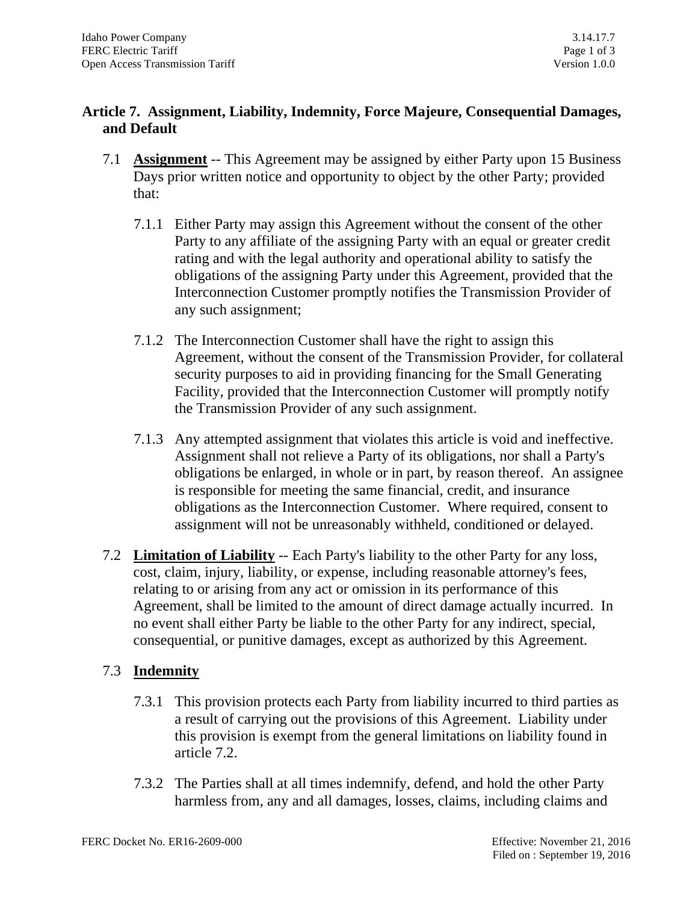## **Article 7. Assignment, Liability, Indemnity, Force Majeure, Consequential Damages, and Default**

- 7.1 **Assignment** -- This Agreement may be assigned by either Party upon 15 Business Days prior written notice and opportunity to object by the other Party; provided that:
	- 7.1.1 Either Party may assign this Agreement without the consent of the other Party to any affiliate of the assigning Party with an equal or greater credit rating and with the legal authority and operational ability to satisfy the obligations of the assigning Party under this Agreement, provided that the Interconnection Customer promptly notifies the Transmission Provider of any such assignment;
	- 7.1.2 The Interconnection Customer shall have the right to assign this Agreement, without the consent of the Transmission Provider, for collateral security purposes to aid in providing financing for the Small Generating Facility, provided that the Interconnection Customer will promptly notify the Transmission Provider of any such assignment.
	- 7.1.3 Any attempted assignment that violates this article is void and ineffective. Assignment shall not relieve a Party of its obligations, nor shall a Party's obligations be enlarged, in whole or in part, by reason thereof. An assignee is responsible for meeting the same financial, credit, and insurance obligations as the Interconnection Customer. Where required, consent to assignment will not be unreasonably withheld, conditioned or delayed.
- 7.2 **Limitation of Liability** -- Each Party's liability to the other Party for any loss, cost, claim, injury, liability, or expense, including reasonable attorney's fees, relating to or arising from any act or omission in its performance of this Agreement, shall be limited to the amount of direct damage actually incurred. In no event shall either Party be liable to the other Party for any indirect, special, consequential, or punitive damages, except as authorized by this Agreement.

# 7.3 **Indemnity**

- 7.3.1 This provision protects each Party from liability incurred to third parties as a result of carrying out the provisions of this Agreement. Liability under this provision is exempt from the general limitations on liability found in article 7.2.
- 7.3.2 The Parties shall at all times indemnify, defend, and hold the other Party harmless from, any and all damages, losses, claims, including claims and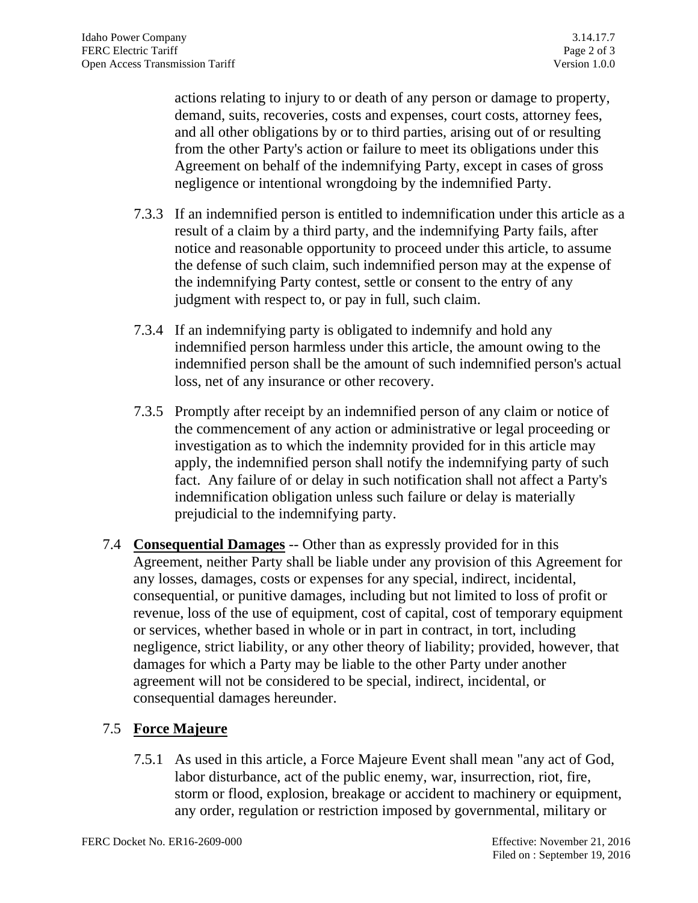actions relating to injury to or death of any person or damage to property, demand, suits, recoveries, costs and expenses, court costs, attorney fees, and all other obligations by or to third parties, arising out of or resulting from the other Party's action or failure to meet its obligations under this Agreement on behalf of the indemnifying Party, except in cases of gross negligence or intentional wrongdoing by the indemnified Party.

- 7.3.3 If an indemnified person is entitled to indemnification under this article as a result of a claim by a third party, and the indemnifying Party fails, after notice and reasonable opportunity to proceed under this article, to assume the defense of such claim, such indemnified person may at the expense of the indemnifying Party contest, settle or consent to the entry of any judgment with respect to, or pay in full, such claim.
- 7.3.4 If an indemnifying party is obligated to indemnify and hold any indemnified person harmless under this article, the amount owing to the indemnified person shall be the amount of such indemnified person's actual loss, net of any insurance or other recovery.
- 7.3.5 Promptly after receipt by an indemnified person of any claim or notice of the commencement of any action or administrative or legal proceeding or investigation as to which the indemnity provided for in this article may apply, the indemnified person shall notify the indemnifying party of such fact. Any failure of or delay in such notification shall not affect a Party's indemnification obligation unless such failure or delay is materially prejudicial to the indemnifying party.
- 7.4 **Consequential Damages** -- Other than as expressly provided for in this Agreement, neither Party shall be liable under any provision of this Agreement for any losses, damages, costs or expenses for any special, indirect, incidental, consequential, or punitive damages, including but not limited to loss of profit or revenue, loss of the use of equipment, cost of capital, cost of temporary equipment or services, whether based in whole or in part in contract, in tort, including negligence, strict liability, or any other theory of liability; provided, however, that damages for which a Party may be liable to the other Party under another agreement will not be considered to be special, indirect, incidental, or consequential damages hereunder.

# 7.5 **Force Majeure**

7.5.1 As used in this article, a Force Majeure Event shall mean "any act of God, labor disturbance, act of the public enemy, war, insurrection, riot, fire, storm or flood, explosion, breakage or accident to machinery or equipment, any order, regulation or restriction imposed by governmental, military or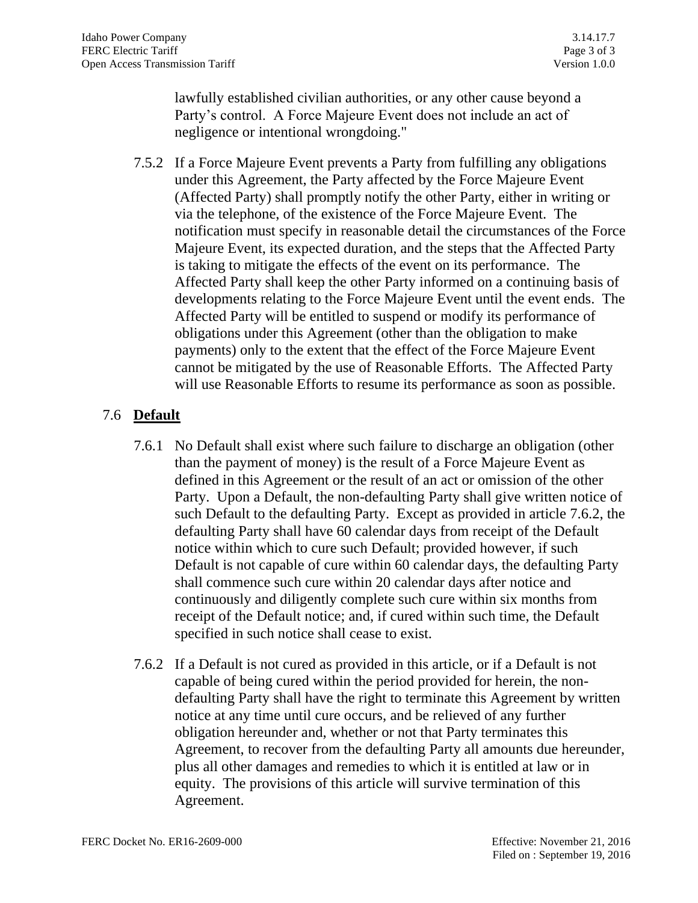lawfully established civilian authorities, or any other cause beyond a Party's control. A Force Majeure Event does not include an act of negligence or intentional wrongdoing."

7.5.2 If a Force Majeure Event prevents a Party from fulfilling any obligations under this Agreement, the Party affected by the Force Majeure Event (Affected Party) shall promptly notify the other Party, either in writing or via the telephone, of the existence of the Force Majeure Event. The notification must specify in reasonable detail the circumstances of the Force Majeure Event, its expected duration, and the steps that the Affected Party is taking to mitigate the effects of the event on its performance. The Affected Party shall keep the other Party informed on a continuing basis of developments relating to the Force Majeure Event until the event ends. The Affected Party will be entitled to suspend or modify its performance of obligations under this Agreement (other than the obligation to make payments) only to the extent that the effect of the Force Majeure Event cannot be mitigated by the use of Reasonable Efforts. The Affected Party will use Reasonable Efforts to resume its performance as soon as possible.

# 7.6 **Default**

- 7.6.1 No Default shall exist where such failure to discharge an obligation (other than the payment of money) is the result of a Force Majeure Event as defined in this Agreement or the result of an act or omission of the other Party. Upon a Default, the non-defaulting Party shall give written notice of such Default to the defaulting Party. Except as provided in article 7.6.2, the defaulting Party shall have 60 calendar days from receipt of the Default notice within which to cure such Default; provided however, if such Default is not capable of cure within 60 calendar days, the defaulting Party shall commence such cure within 20 calendar days after notice and continuously and diligently complete such cure within six months from receipt of the Default notice; and, if cured within such time, the Default specified in such notice shall cease to exist.
- 7.6.2 If a Default is not cured as provided in this article, or if a Default is not capable of being cured within the period provided for herein, the nondefaulting Party shall have the right to terminate this Agreement by written notice at any time until cure occurs, and be relieved of any further obligation hereunder and, whether or not that Party terminates this Agreement, to recover from the defaulting Party all amounts due hereunder, plus all other damages and remedies to which it is entitled at law or in equity. The provisions of this article will survive termination of this Agreement.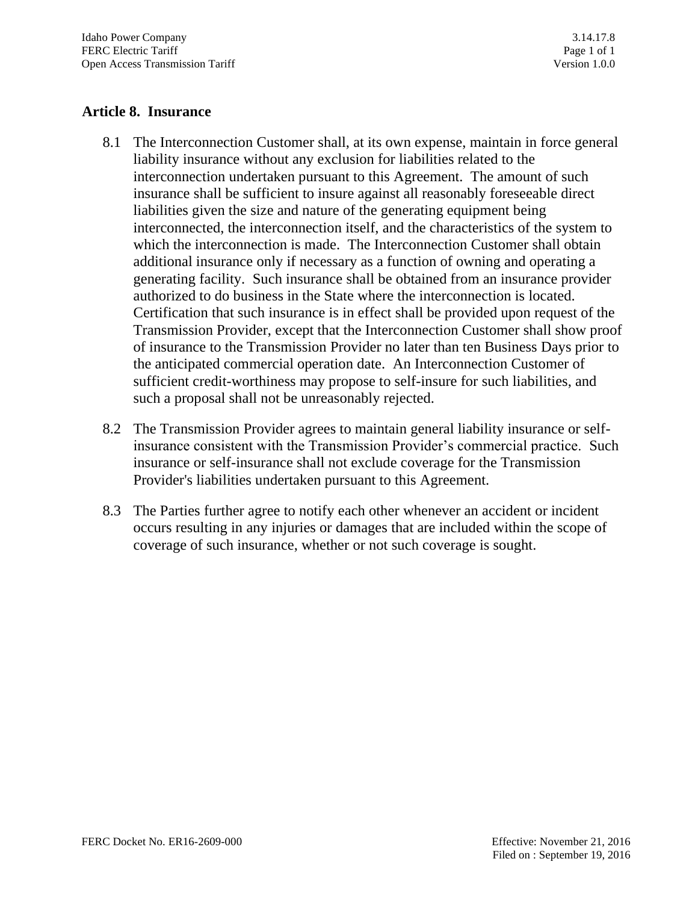## **Article 8. Insurance**

- 8.1 The Interconnection Customer shall, at its own expense, maintain in force general liability insurance without any exclusion for liabilities related to the interconnection undertaken pursuant to this Agreement. The amount of such insurance shall be sufficient to insure against all reasonably foreseeable direct liabilities given the size and nature of the generating equipment being interconnected, the interconnection itself, and the characteristics of the system to which the interconnection is made. The Interconnection Customer shall obtain additional insurance only if necessary as a function of owning and operating a generating facility. Such insurance shall be obtained from an insurance provider authorized to do business in the State where the interconnection is located. Certification that such insurance is in effect shall be provided upon request of the Transmission Provider, except that the Interconnection Customer shall show proof of insurance to the Transmission Provider no later than ten Business Days prior to the anticipated commercial operation date. An Interconnection Customer of sufficient credit-worthiness may propose to self-insure for such liabilities, and such a proposal shall not be unreasonably rejected.
- 8.2 The Transmission Provider agrees to maintain general liability insurance or selfinsurance consistent with the Transmission Provider's commercial practice. Such insurance or self-insurance shall not exclude coverage for the Transmission Provider's liabilities undertaken pursuant to this Agreement.
- 8.3 The Parties further agree to notify each other whenever an accident or incident occurs resulting in any injuries or damages that are included within the scope of coverage of such insurance, whether or not such coverage is sought.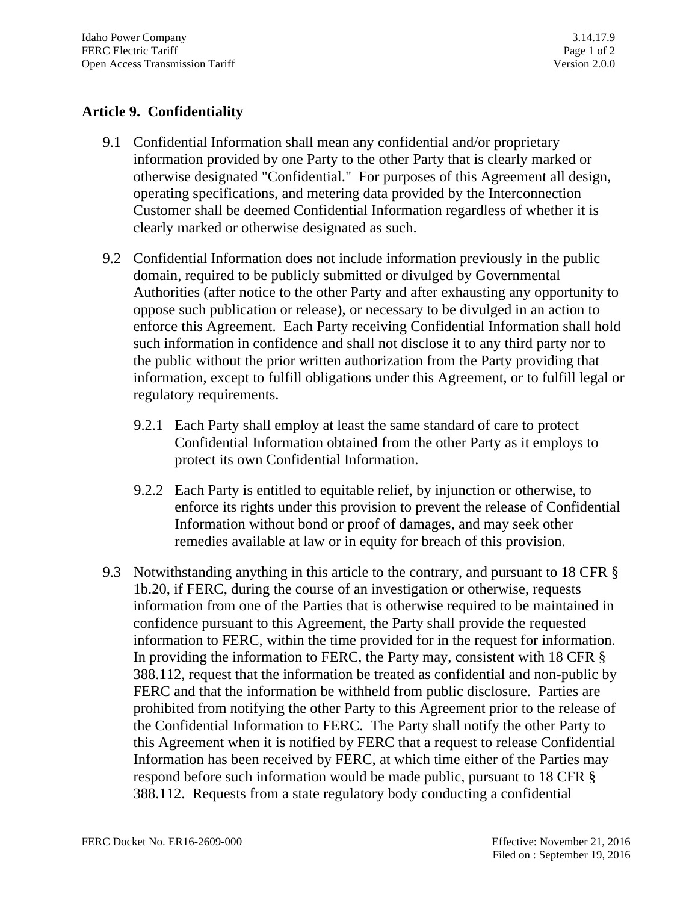# **Article 9. Confidentiality**

- 9.1 Confidential Information shall mean any confidential and/or proprietary information provided by one Party to the other Party that is clearly marked or otherwise designated "Confidential." For purposes of this Agreement all design, operating specifications, and metering data provided by the Interconnection Customer shall be deemed Confidential Information regardless of whether it is clearly marked or otherwise designated as such.
- 9.2 Confidential Information does not include information previously in the public domain, required to be publicly submitted or divulged by Governmental Authorities (after notice to the other Party and after exhausting any opportunity to oppose such publication or release), or necessary to be divulged in an action to enforce this Agreement. Each Party receiving Confidential Information shall hold such information in confidence and shall not disclose it to any third party nor to the public without the prior written authorization from the Party providing that information, except to fulfill obligations under this Agreement, or to fulfill legal or regulatory requirements.
	- 9.2.1 Each Party shall employ at least the same standard of care to protect Confidential Information obtained from the other Party as it employs to protect its own Confidential Information.
	- 9.2.2 Each Party is entitled to equitable relief, by injunction or otherwise, to enforce its rights under this provision to prevent the release of Confidential Information without bond or proof of damages, and may seek other remedies available at law or in equity for breach of this provision.
- 9.3 Notwithstanding anything in this article to the contrary, and pursuant to 18 CFR § 1b.20, if FERC, during the course of an investigation or otherwise, requests information from one of the Parties that is otherwise required to be maintained in confidence pursuant to this Agreement, the Party shall provide the requested information to FERC, within the time provided for in the request for information. In providing the information to FERC, the Party may, consistent with 18 CFR § 388.112, request that the information be treated as confidential and non-public by FERC and that the information be withheld from public disclosure. Parties are prohibited from notifying the other Party to this Agreement prior to the release of the Confidential Information to FERC. The Party shall notify the other Party to this Agreement when it is notified by FERC that a request to release Confidential Information has been received by FERC, at which time either of the Parties may respond before such information would be made public, pursuant to 18 CFR § 388.112. Requests from a state regulatory body conducting a confidential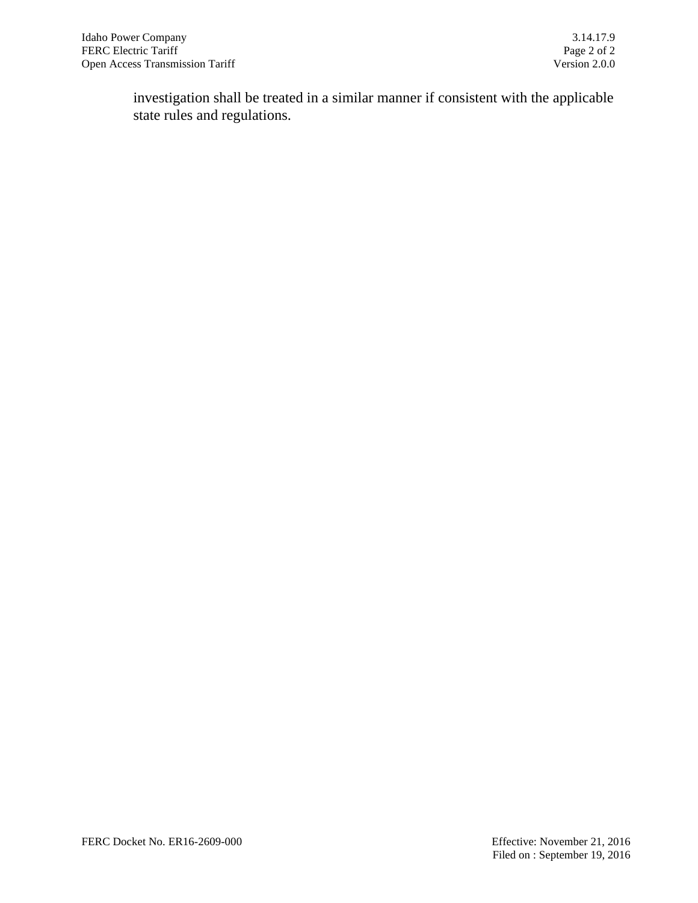investigation shall be treated in a similar manner if consistent with the applicable state rules and regulations.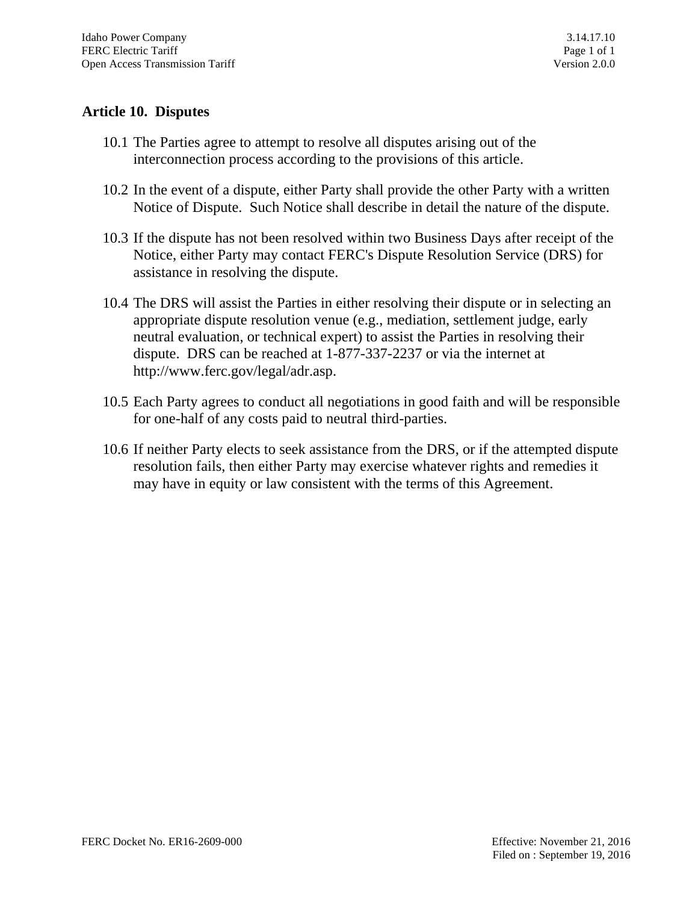## **Article 10. Disputes**

- 10.1 The Parties agree to attempt to resolve all disputes arising out of the interconnection process according to the provisions of this article.
- 10.2 In the event of a dispute, either Party shall provide the other Party with a written Notice of Dispute. Such Notice shall describe in detail the nature of the dispute.
- 10.3 If the dispute has not been resolved within two Business Days after receipt of the Notice, either Party may contact FERC's Dispute Resolution Service (DRS) for assistance in resolving the dispute.
- 10.4 The DRS will assist the Parties in either resolving their dispute or in selecting an appropriate dispute resolution venue (e.g., mediation, settlement judge, early neutral evaluation, or technical expert) to assist the Parties in resolving their dispute. DRS can be reached at 1-877-337-2237 or via the internet at [http://www.ferc.gov/legal/adr.asp.](http://www.ferc.gov/legal/adr.asp)
- 10.5 Each Party agrees to conduct all negotiations in good faith and will be responsible for one-half of any costs paid to neutral third-parties.
- 10.6 If neither Party elects to seek assistance from the DRS, or if the attempted dispute resolution fails, then either Party may exercise whatever rights and remedies it may have in equity or law consistent with the terms of this Agreement.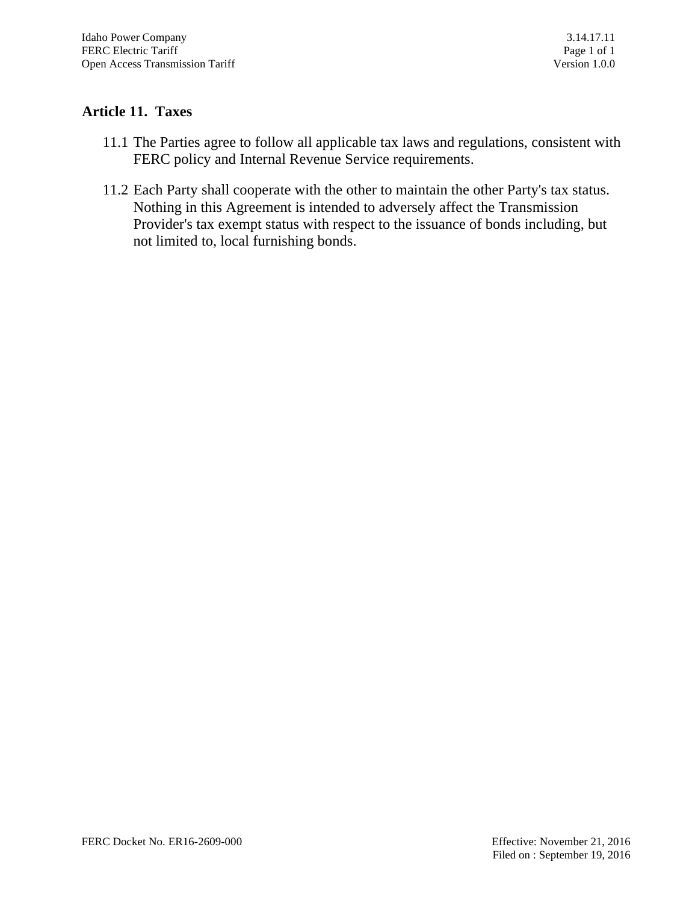# **Article 11. Taxes**

- 11.1 The Parties agree to follow all applicable tax laws and regulations, consistent with FERC policy and Internal Revenue Service requirements.
- 11.2 Each Party shall cooperate with the other to maintain the other Party's tax status. Nothing in this Agreement is intended to adversely affect the Transmission Provider's tax exempt status with respect to the issuance of bonds including, but not limited to, local furnishing bonds.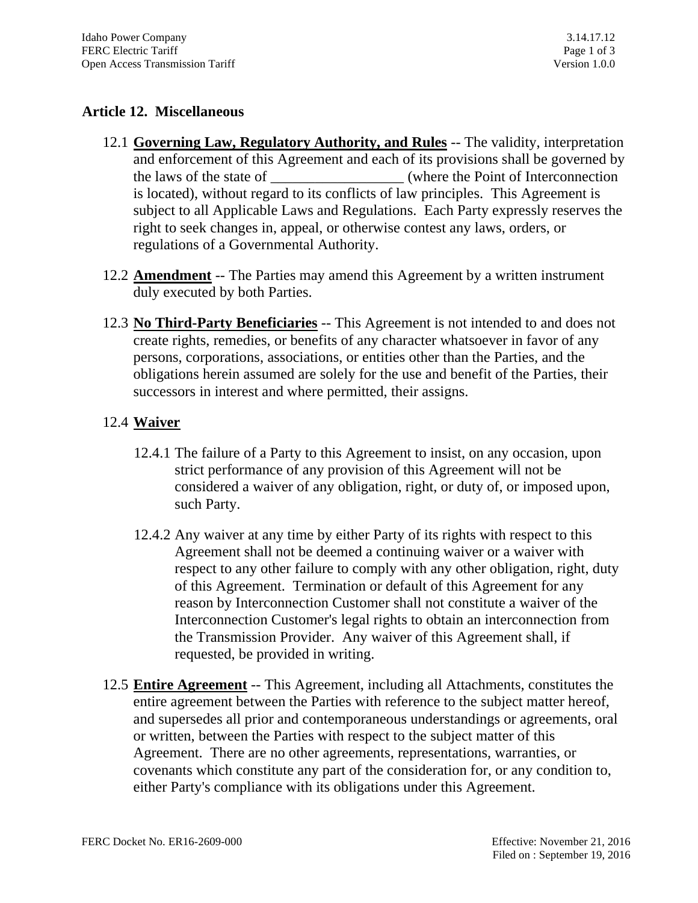## **Article 12. Miscellaneous**

- 12.1 **Governing Law, Regulatory Authority, and Rules** -- The validity, interpretation and enforcement of this Agreement and each of its provisions shall be governed by the laws of the state of the state of the Point of Interconnection is located), without regard to its conflicts of law principles. This Agreement is subject to all Applicable Laws and Regulations. Each Party expressly reserves the right to seek changes in, appeal, or otherwise contest any laws, orders, or regulations of a Governmental Authority.
- 12.2 **Amendment** -- The Parties may amend this Agreement by a written instrument duly executed by both Parties.
- 12.3 **No Third-Party Beneficiaries** -- This Agreement is not intended to and does not create rights, remedies, or benefits of any character whatsoever in favor of any persons, corporations, associations, or entities other than the Parties, and the obligations herein assumed are solely for the use and benefit of the Parties, their successors in interest and where permitted, their assigns.

## 12.4 **Waiver**

- 12.4.1 The failure of a Party to this Agreement to insist, on any occasion, upon strict performance of any provision of this Agreement will not be considered a waiver of any obligation, right, or duty of, or imposed upon, such Party.
- 12.4.2 Any waiver at any time by either Party of its rights with respect to this Agreement shall not be deemed a continuing waiver or a waiver with respect to any other failure to comply with any other obligation, right, duty of this Agreement. Termination or default of this Agreement for any reason by Interconnection Customer shall not constitute a waiver of the Interconnection Customer's legal rights to obtain an interconnection from the Transmission Provider. Any waiver of this Agreement shall, if requested, be provided in writing.
- 12.5 **Entire Agreement** -- This Agreement, including all Attachments, constitutes the entire agreement between the Parties with reference to the subject matter hereof, and supersedes all prior and contemporaneous understandings or agreements, oral or written, between the Parties with respect to the subject matter of this Agreement. There are no other agreements, representations, warranties, or covenants which constitute any part of the consideration for, or any condition to, either Party's compliance with its obligations under this Agreement.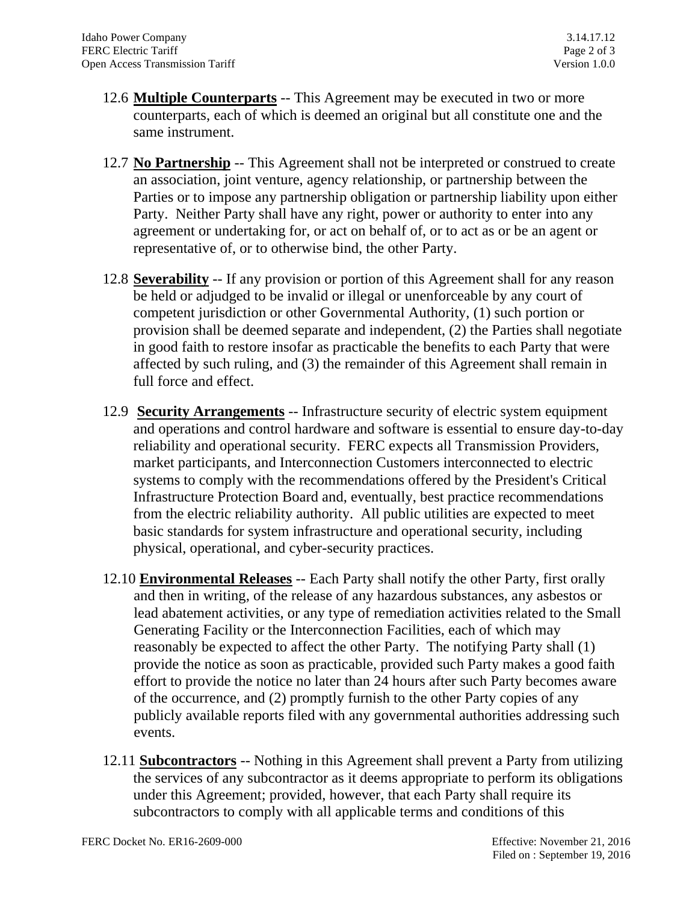- 12.6 **Multiple Counterparts** -- This Agreement may be executed in two or more counterparts, each of which is deemed an original but all constitute one and the same instrument.
- 12.7 **No Partnership** -- This Agreement shall not be interpreted or construed to create an association, joint venture, agency relationship, or partnership between the Parties or to impose any partnership obligation or partnership liability upon either Party. Neither Party shall have any right, power or authority to enter into any agreement or undertaking for, or act on behalf of, or to act as or be an agent or representative of, or to otherwise bind, the other Party.
- 12.8 **Severability** -- If any provision or portion of this Agreement shall for any reason be held or adjudged to be invalid or illegal or unenforceable by any court of competent jurisdiction or other Governmental Authority, (1) such portion or provision shall be deemed separate and independent, (2) the Parties shall negotiate in good faith to restore insofar as practicable the benefits to each Party that were affected by such ruling, and (3) the remainder of this Agreement shall remain in full force and effect.
- 12.9 **Security Arrangements** -- Infrastructure security of electric system equipment and operations and control hardware and software is essential to ensure day-to-day reliability and operational security. FERC expects all Transmission Providers, market participants, and Interconnection Customers interconnected to electric systems to comply with the recommendations offered by the President's Critical Infrastructure Protection Board and, eventually, best practice recommendations from the electric reliability authority. All public utilities are expected to meet basic standards for system infrastructure and operational security, including physical, operational, and cyber-security practices.
- 12.10 **Environmental Releases** -- Each Party shall notify the other Party, first orally and then in writing, of the release of any hazardous substances, any asbestos or lead abatement activities, or any type of remediation activities related to the Small Generating Facility or the Interconnection Facilities, each of which may reasonably be expected to affect the other Party. The notifying Party shall (1) provide the notice as soon as practicable, provided such Party makes a good faith effort to provide the notice no later than 24 hours after such Party becomes aware of the occurrence, and (2) promptly furnish to the other Party copies of any publicly available reports filed with any governmental authorities addressing such events.
- 12.11 **Subcontractors** -- Nothing in this Agreement shall prevent a Party from utilizing the services of any subcontractor as it deems appropriate to perform its obligations under this Agreement; provided, however, that each Party shall require its subcontractors to comply with all applicable terms and conditions of this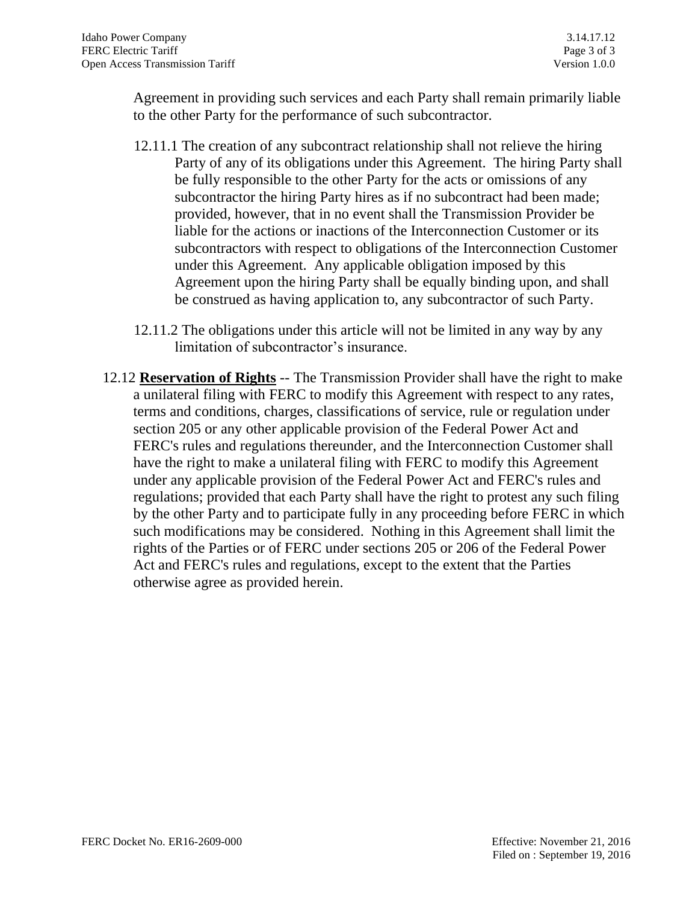Agreement in providing such services and each Party shall remain primarily liable to the other Party for the performance of such subcontractor.

- 12.11.1 The creation of any subcontract relationship shall not relieve the hiring Party of any of its obligations under this Agreement. The hiring Party shall be fully responsible to the other Party for the acts or omissions of any subcontractor the hiring Party hires as if no subcontract had been made; provided, however, that in no event shall the Transmission Provider be liable for the actions or inactions of the Interconnection Customer or its subcontractors with respect to obligations of the Interconnection Customer under this Agreement. Any applicable obligation imposed by this Agreement upon the hiring Party shall be equally binding upon, and shall be construed as having application to, any subcontractor of such Party.
- 12.11.2 The obligations under this article will not be limited in any way by any limitation of subcontractor's insurance.
- 12.12 **Reservation of Rights** -- The Transmission Provider shall have the right to make a unilateral filing with FERC to modify this Agreement with respect to any rates, terms and conditions, charges, classifications of service, rule or regulation under section 205 or any other applicable provision of the Federal Power Act and FERC's rules and regulations thereunder, and the Interconnection Customer shall have the right to make a unilateral filing with FERC to modify this Agreement under any applicable provision of the Federal Power Act and FERC's rules and regulations; provided that each Party shall have the right to protest any such filing by the other Party and to participate fully in any proceeding before FERC in which such modifications may be considered. Nothing in this Agreement shall limit the rights of the Parties or of FERC under sections 205 or 206 of the Federal Power Act and FERC's rules and regulations, except to the extent that the Parties otherwise agree as provided herein.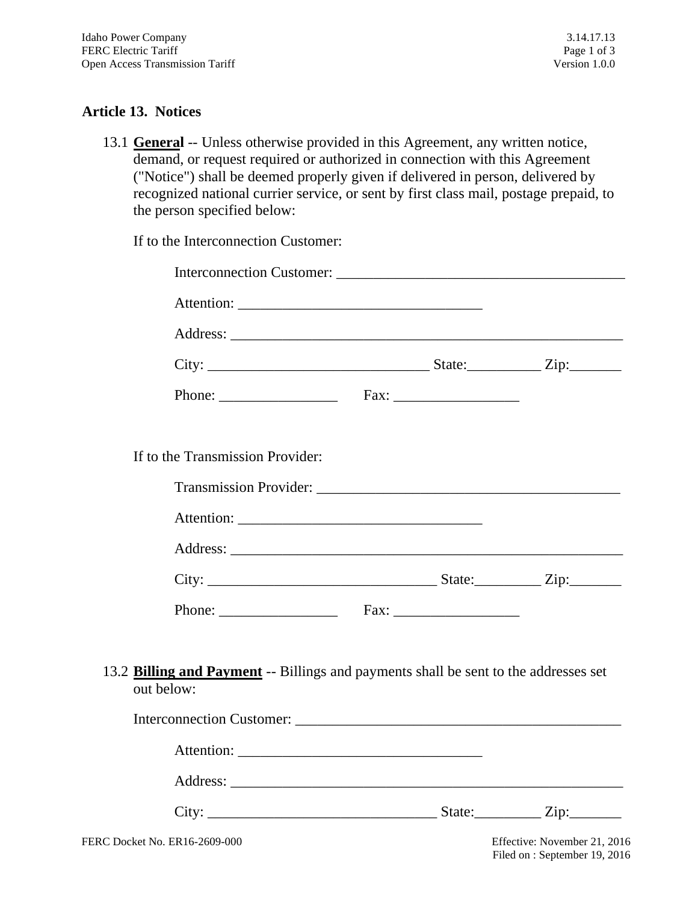## **Article 13. Notices**

13.1 **General** -- Unless otherwise provided in this Agreement, any written notice, demand, or request required or authorized in connection with this Agreement ("Notice") shall be deemed properly given if delivered in person, delivered by recognized national currier service, or sent by first class mail, postage prepaid, to the person specified below:

| If to the Interconnection Customer:                                                                       |  |
|-----------------------------------------------------------------------------------------------------------|--|
|                                                                                                           |  |
|                                                                                                           |  |
|                                                                                                           |  |
|                                                                                                           |  |
|                                                                                                           |  |
| If to the Transmission Provider:                                                                          |  |
|                                                                                                           |  |
|                                                                                                           |  |
|                                                                                                           |  |
|                                                                                                           |  |
|                                                                                                           |  |
| 13.2 <b>Billing and Payment</b> -- Billings and payments shall be sent to the addresses set<br>out below: |  |
|                                                                                                           |  |
|                                                                                                           |  |
|                                                                                                           |  |
|                                                                                                           |  |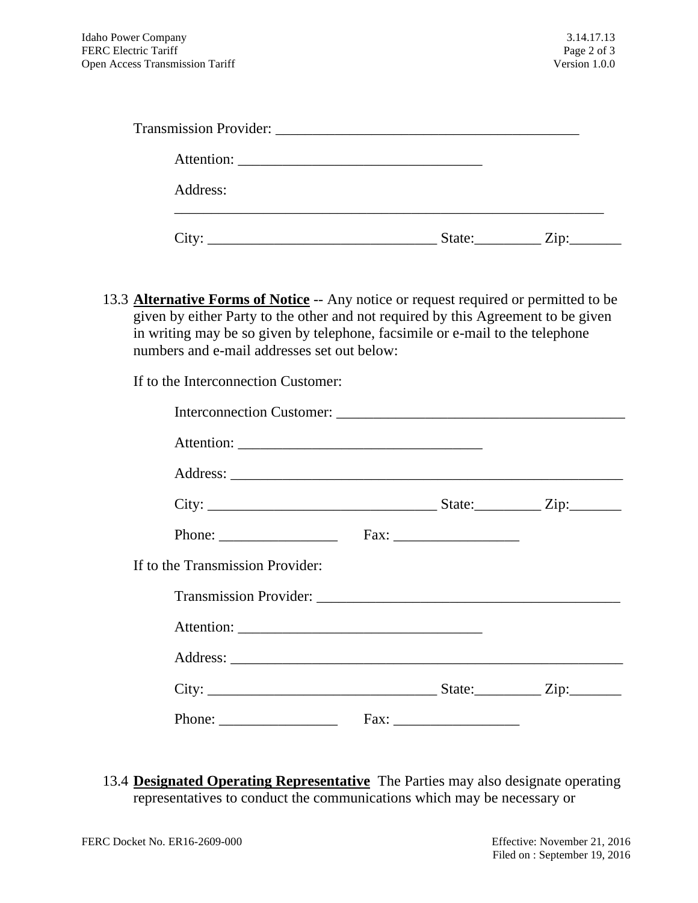| Address: |  |
|----------|--|
|          |  |

13.3 **Alternative Forms of Notice** -- Any notice or request required or permitted to be given by either Party to the other and not required by this Agreement to be given in writing may be so given by telephone, facsimile or e-mail to the telephone numbers and e-mail addresses set out below:

If to the Interconnection Customer:

| If to the Transmission Provider:                          |  |  |
|-----------------------------------------------------------|--|--|
|                                                           |  |  |
|                                                           |  |  |
|                                                           |  |  |
|                                                           |  |  |
| Phone: $\frac{1}{\sqrt{1-\frac{1}{2}} \cdot \frac{1}{2}}$ |  |  |

13.4 **Designated Operating Representative** The Parties may also designate operating representatives to conduct the communications which may be necessary or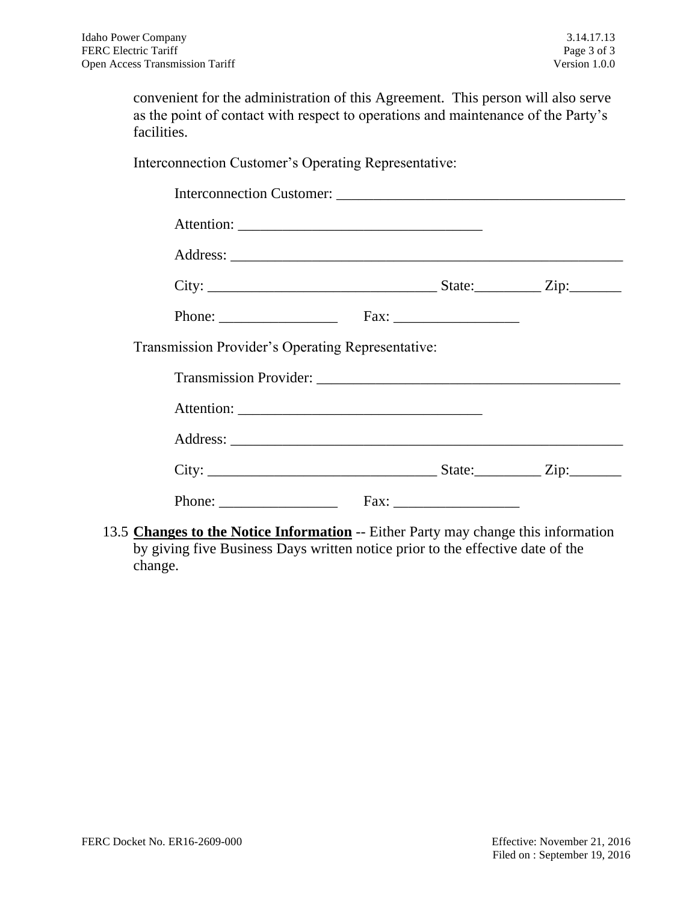convenient for the administration of this Agreement. This person will also serve as the point of contact with respect to operations and maintenance of the Party's facilities.

Interconnection Customer's Operating Representative:

| Transmission Provider's Operating Representative:                                  |  |  |
|------------------------------------------------------------------------------------|--|--|
|                                                                                    |  |  |
|                                                                                    |  |  |
|                                                                                    |  |  |
|                                                                                    |  |  |
|                                                                                    |  |  |
| 13.5 Changes to the Notice Information -- Either Party may change this information |  |  |

by giving five Business Days written notice prior to the effective date of the change.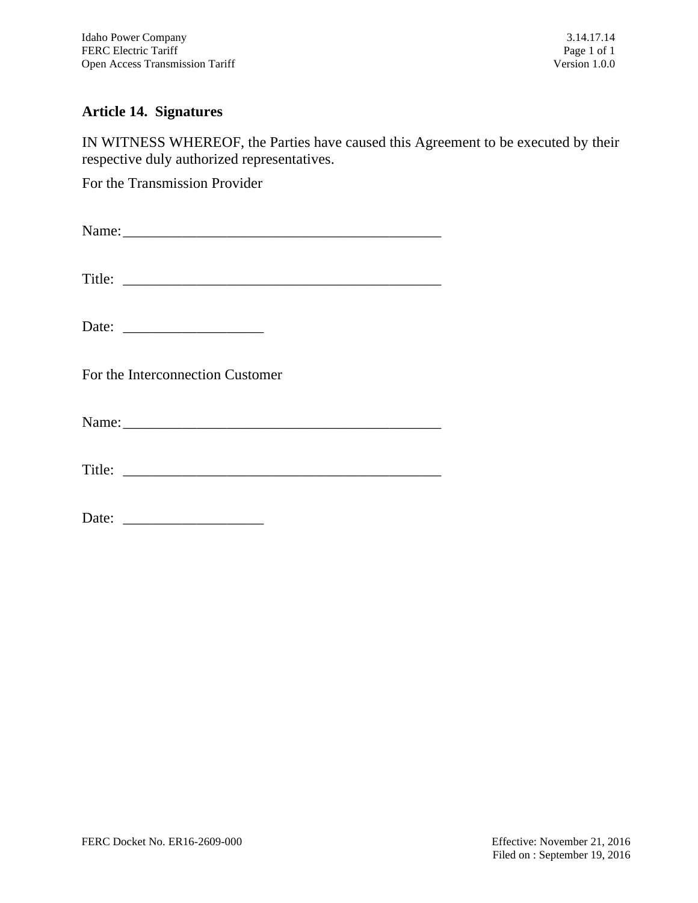## **Article 14. Signatures**

IN WITNESS WHEREOF, the Parties have caused this Agreement to be executed by their respective duly authorized representatives.

For the Transmission Provider

| Title:                                                                                                                                                                                                                         |  |
|--------------------------------------------------------------------------------------------------------------------------------------------------------------------------------------------------------------------------------|--|
|                                                                                                                                                                                                                                |  |
| For the Interconnection Customer                                                                                                                                                                                               |  |
| Name: 2008. [2016] Name: 2008. [2016] Name: 2008. [2016] 2016. [2016] 2016. [2016] 2016. [2016] 2016. [2016] 2016. [2016] 2016. [2016] 2016. [2016] 2016. [2016] 2016. [2016] 2016. [2016] 2016. [2016] 2016. [2016] 2016. [20 |  |
|                                                                                                                                                                                                                                |  |

Date: \_\_\_\_\_\_\_\_\_\_\_\_\_\_\_\_\_\_\_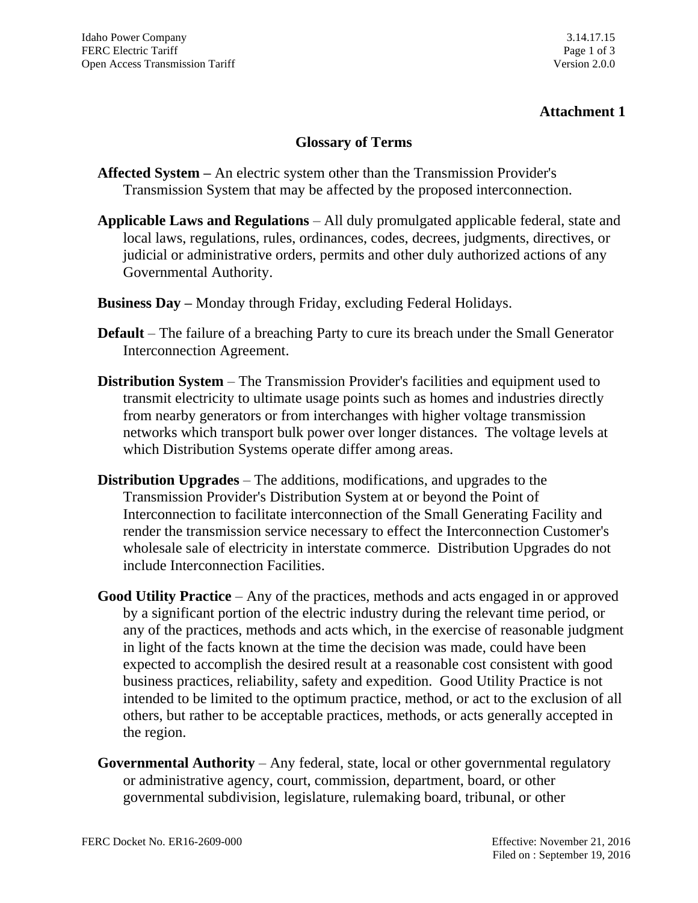#### **Glossary of Terms**

- **Affected System –** An electric system other than the Transmission Provider's Transmission System that may be affected by the proposed interconnection.
- **Applicable Laws and Regulations** All duly promulgated applicable federal, state and local laws, regulations, rules, ordinances, codes, decrees, judgments, directives, or judicial or administrative orders, permits and other duly authorized actions of any Governmental Authority.
- **Business Day –** Monday through Friday, excluding Federal Holidays.
- **Default** The failure of a breaching Party to cure its breach under the Small Generator Interconnection Agreement.
- **Distribution System** The Transmission Provider's facilities and equipment used to transmit electricity to ultimate usage points such as homes and industries directly from nearby generators or from interchanges with higher voltage transmission networks which transport bulk power over longer distances. The voltage levels at which Distribution Systems operate differ among areas.
- **Distribution Upgrades** The additions, modifications, and upgrades to the Transmission Provider's Distribution System at or beyond the Point of Interconnection to facilitate interconnection of the Small Generating Facility and render the transmission service necessary to effect the Interconnection Customer's wholesale sale of electricity in interstate commerce. Distribution Upgrades do not include Interconnection Facilities.
- **Good Utility Practice** Any of the practices, methods and acts engaged in or approved by a significant portion of the electric industry during the relevant time period, or any of the practices, methods and acts which, in the exercise of reasonable judgment in light of the facts known at the time the decision was made, could have been expected to accomplish the desired result at a reasonable cost consistent with good business practices, reliability, safety and expedition. Good Utility Practice is not intended to be limited to the optimum practice, method, or act to the exclusion of all others, but rather to be acceptable practices, methods, or acts generally accepted in the region.
- **Governmental Authority** Any federal, state, local or other governmental regulatory or administrative agency, court, commission, department, board, or other governmental subdivision, legislature, rulemaking board, tribunal, or other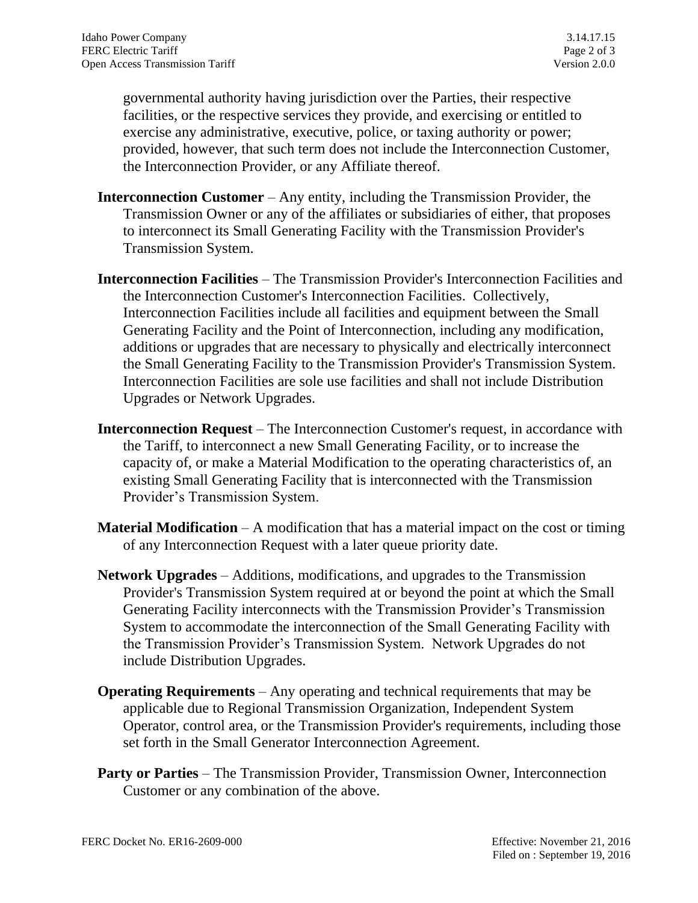governmental authority having jurisdiction over the Parties, their respective facilities, or the respective services they provide, and exercising or entitled to exercise any administrative, executive, police, or taxing authority or power; provided, however, that such term does not include the Interconnection Customer, the Interconnection Provider, or any Affiliate thereof.

- **Interconnection Customer** Any entity, including the Transmission Provider, the Transmission Owner or any of the affiliates or subsidiaries of either, that proposes to interconnect its Small Generating Facility with the Transmission Provider's Transmission System.
- **Interconnection Facilities** The Transmission Provider's Interconnection Facilities and the Interconnection Customer's Interconnection Facilities. Collectively, Interconnection Facilities include all facilities and equipment between the Small Generating Facility and the Point of Interconnection, including any modification, additions or upgrades that are necessary to physically and electrically interconnect the Small Generating Facility to the Transmission Provider's Transmission System. Interconnection Facilities are sole use facilities and shall not include Distribution Upgrades or Network Upgrades.
- **Interconnection Request** The Interconnection Customer's request, in accordance with the Tariff, to interconnect a new Small Generating Facility, or to increase the capacity of, or make a Material Modification to the operating characteristics of, an existing Small Generating Facility that is interconnected with the Transmission Provider's Transmission System.
- **Material Modification** A modification that has a material impact on the cost or timing of any Interconnection Request with a later queue priority date.
- **Network Upgrades** Additions, modifications, and upgrades to the Transmission Provider's Transmission System required at or beyond the point at which the Small Generating Facility interconnects with the Transmission Provider's Transmission System to accommodate the interconnection of the Small Generating Facility with the Transmission Provider's Transmission System. Network Upgrades do not include Distribution Upgrades.
- **Operating Requirements** Any operating and technical requirements that may be applicable due to Regional Transmission Organization, Independent System Operator, control area, or the Transmission Provider's requirements, including those set forth in the Small Generator Interconnection Agreement.
- **Party or Parties** The Transmission Provider, Transmission Owner, Interconnection Customer or any combination of the above.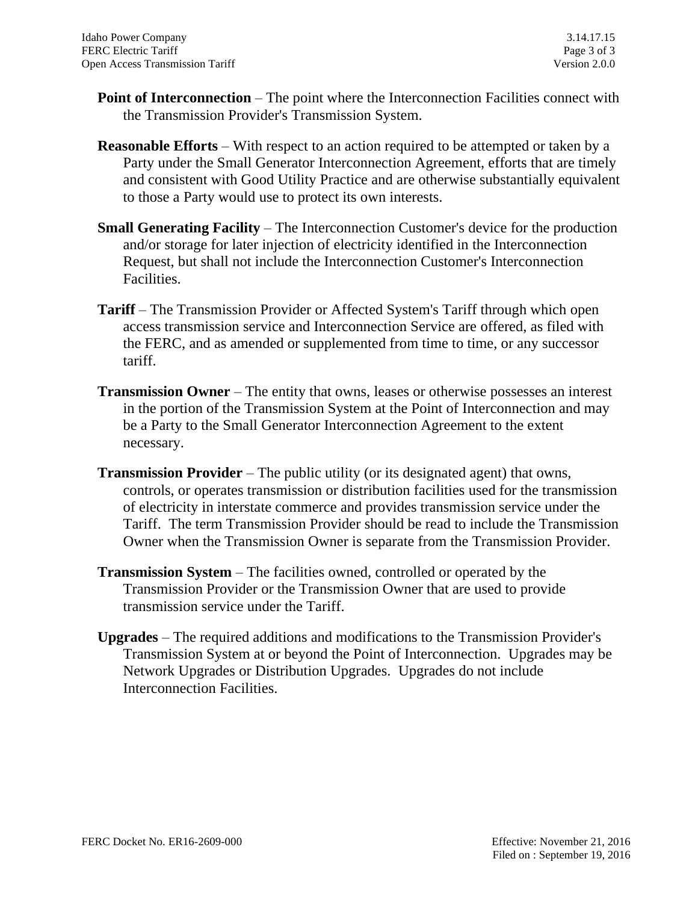- **Point of Interconnection** The point where the Interconnection Facilities connect with the Transmission Provider's Transmission System.
- **Reasonable Efforts** With respect to an action required to be attempted or taken by a Party under the Small Generator Interconnection Agreement, efforts that are timely and consistent with Good Utility Practice and are otherwise substantially equivalent to those a Party would use to protect its own interests.
- **Small Generating Facility** The Interconnection Customer's device for the production and/or storage for later injection of electricity identified in the Interconnection Request, but shall not include the Interconnection Customer's Interconnection Facilities.
- **Tariff** The Transmission Provider or Affected System's Tariff through which open access transmission service and Interconnection Service are offered, as filed with the FERC, and as amended or supplemented from time to time, or any successor tariff.
- **Transmission Owner** The entity that owns, leases or otherwise possesses an interest in the portion of the Transmission System at the Point of Interconnection and may be a Party to the Small Generator Interconnection Agreement to the extent necessary.
- **Transmission Provider** The public utility (or its designated agent) that owns, controls, or operates transmission or distribution facilities used for the transmission of electricity in interstate commerce and provides transmission service under the Tariff. The term Transmission Provider should be read to include the Transmission Owner when the Transmission Owner is separate from the Transmission Provider.
- **Transmission System** The facilities owned, controlled or operated by the Transmission Provider or the Transmission Owner that are used to provide transmission service under the Tariff.
- **Upgrades** The required additions and modifications to the Transmission Provider's Transmission System at or beyond the Point of Interconnection. Upgrades may be Network Upgrades or Distribution Upgrades. Upgrades do not include Interconnection Facilities.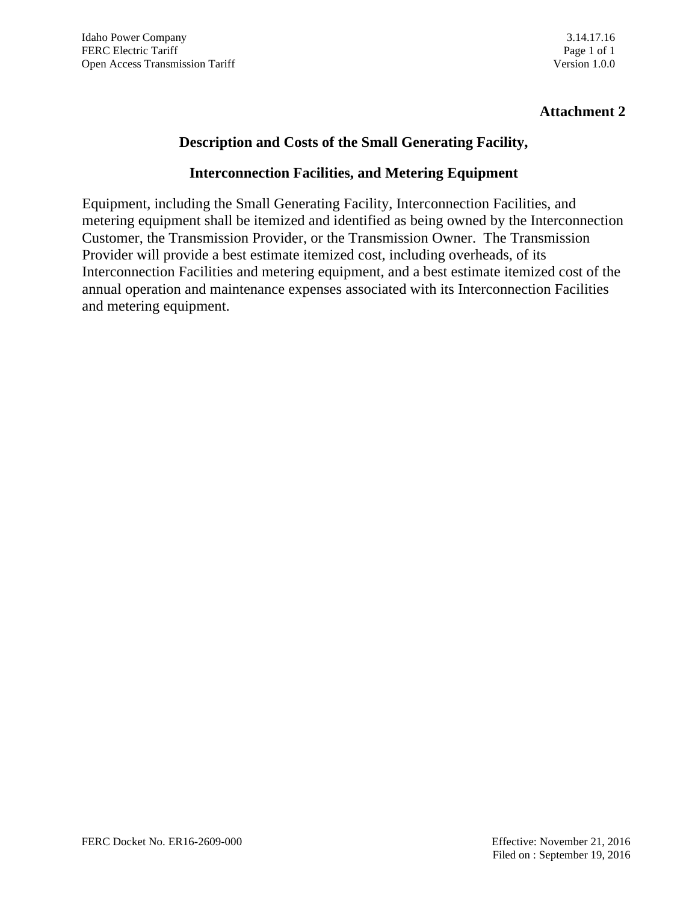## **Description and Costs of the Small Generating Facility,**

#### **Interconnection Facilities, and Metering Equipment**

Equipment, including the Small Generating Facility, Interconnection Facilities, and metering equipment shall be itemized and identified as being owned by the Interconnection Customer, the Transmission Provider, or the Transmission Owner. The Transmission Provider will provide a best estimate itemized cost, including overheads, of its Interconnection Facilities and metering equipment, and a best estimate itemized cost of the annual operation and maintenance expenses associated with its Interconnection Facilities and metering equipment.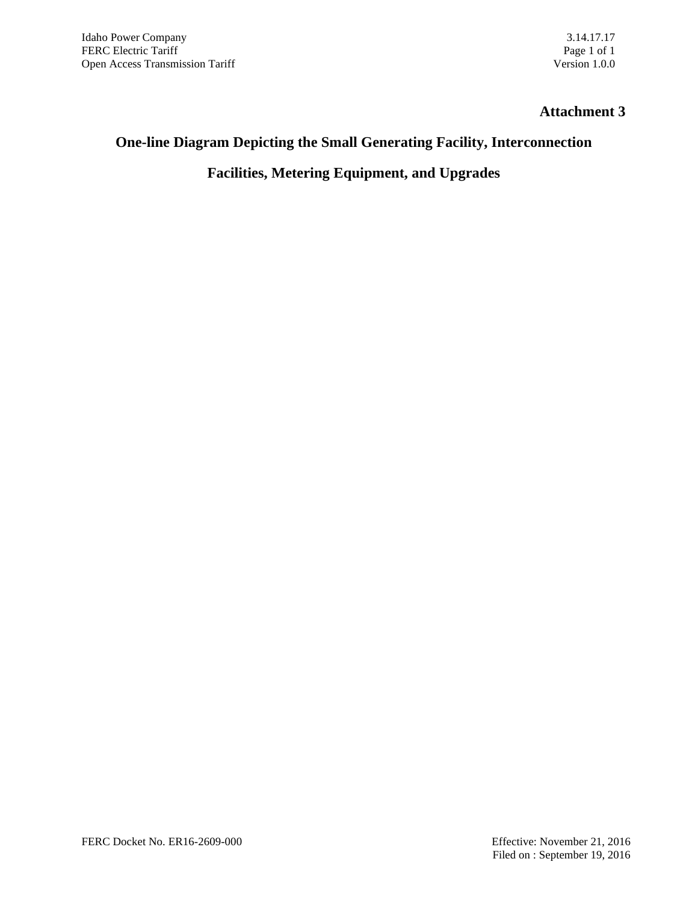# **One-line Diagram Depicting the Small Generating Facility, Interconnection**

**Facilities, Metering Equipment, and Upgrades**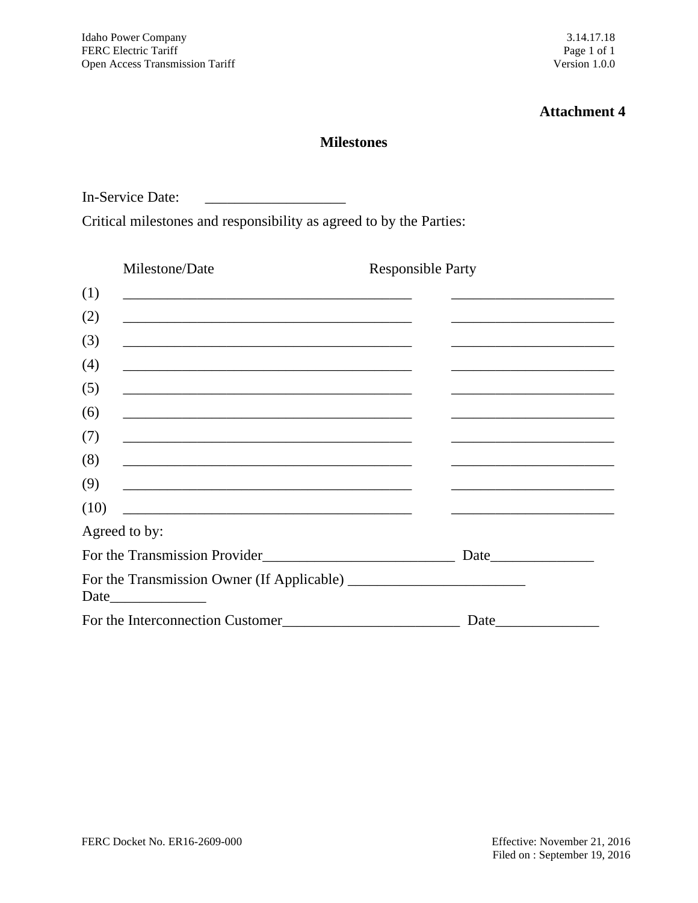#### **Milestones**

In-Service Date: \_\_\_\_\_\_\_\_\_\_\_\_\_\_\_\_\_\_\_

Critical milestones and responsibility as agreed to by the Parties:

| Milestone/Date                                                                                                                | <b>Responsible Party</b>                                                                                                                                                                                                      |  |  |  |
|-------------------------------------------------------------------------------------------------------------------------------|-------------------------------------------------------------------------------------------------------------------------------------------------------------------------------------------------------------------------------|--|--|--|
| (1)                                                                                                                           |                                                                                                                                                                                                                               |  |  |  |
| (2)                                                                                                                           |                                                                                                                                                                                                                               |  |  |  |
| (3)<br><u> 1980 - Johann John Stone, mars eta biztanleria (h. 1980).</u>                                                      |                                                                                                                                                                                                                               |  |  |  |
| (4)                                                                                                                           |                                                                                                                                                                                                                               |  |  |  |
| (5)<br><u> 1980 - Johann John Stone, mars eta biztanleria (h. 1980).</u>                                                      | the control of the control of the control of the control of the control of the control of the control of the control of the control of the control of the control of the control of the control of the control of the control |  |  |  |
| (6)                                                                                                                           |                                                                                                                                                                                                                               |  |  |  |
| (7)<br><u> 1989 - Johann John Harry Harry Harry Harry Harry Harry Harry Harry Harry Harry Harry Harry Harry Harry Harry</u>   |                                                                                                                                                                                                                               |  |  |  |
| (8)                                                                                                                           |                                                                                                                                                                                                                               |  |  |  |
| (9)<br><u> 1980 - Johann John Stone, markin film yn y brenin y brenin y brenin y brenin y brenin y brenin y brenin y br</u>   |                                                                                                                                                                                                                               |  |  |  |
| (10)<br><u> 1989 - Johann Barn, mars ann an t-Amhain an t-Amhain an t-Amhain an t-Amhain an t-Amhain an t-Amhain an t-Amh</u> |                                                                                                                                                                                                                               |  |  |  |
| Agreed to by:                                                                                                                 |                                                                                                                                                                                                                               |  |  |  |
|                                                                                                                               |                                                                                                                                                                                                                               |  |  |  |
|                                                                                                                               |                                                                                                                                                                                                                               |  |  |  |
| For the Interconnection Customer                                                                                              | Date                                                                                                                                                                                                                          |  |  |  |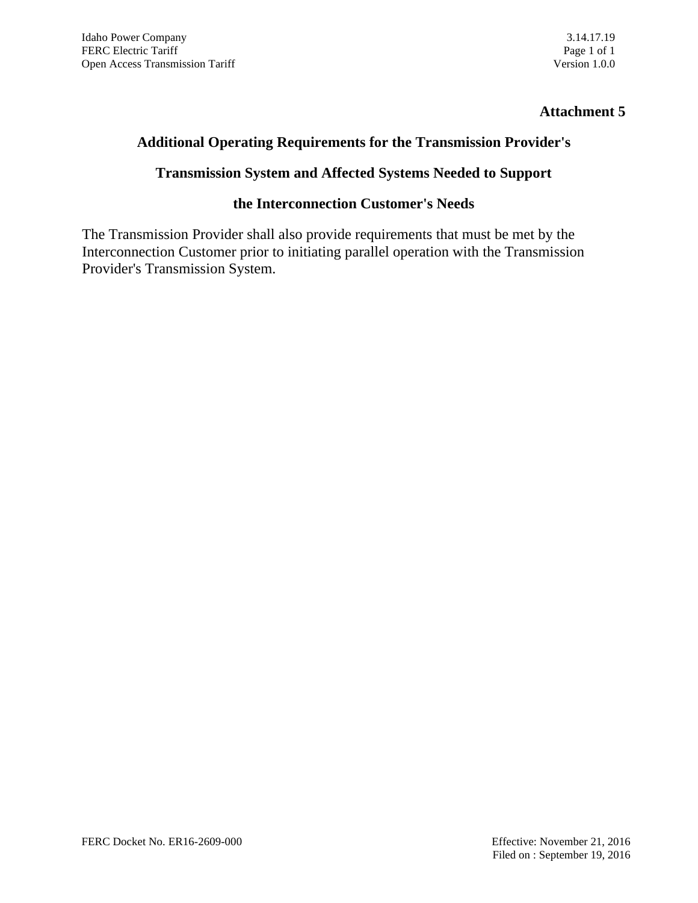#### **Additional Operating Requirements for the Transmission Provider's**

#### **Transmission System and Affected Systems Needed to Support**

#### **the Interconnection Customer's Needs**

The Transmission Provider shall also provide requirements that must be met by the Interconnection Customer prior to initiating parallel operation with the Transmission Provider's Transmission System.